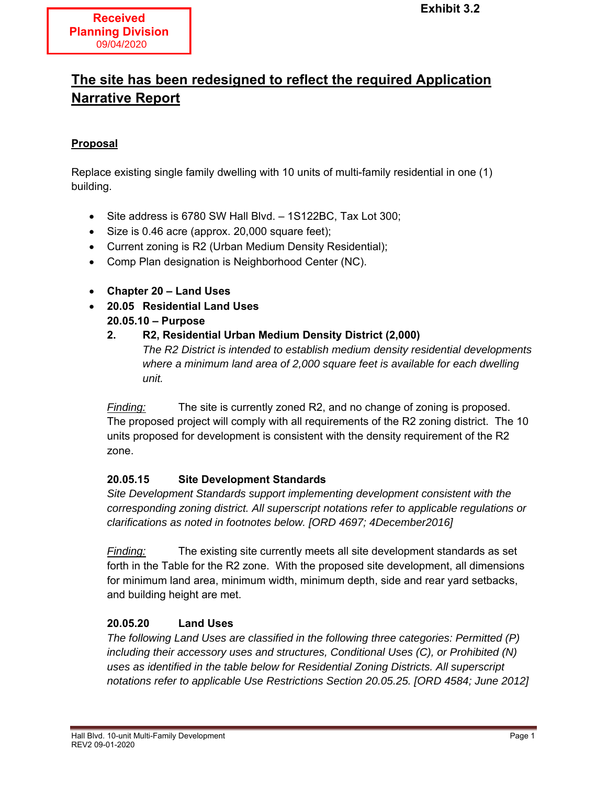# **The site has been redesigned to reflect the required Application Narrative Report**

### **Proposal**

Replace existing single family dwelling with 10 units of multi-family residential in one (1) building.

- Site address is 6780 SW Hall Blvd. 1S122BC, Tax Lot 300;
- Size is 0.46 acre (approx. 20,000 square feet);
- Current zoning is R2 (Urban Medium Density Residential);
- Comp Plan designation is Neighborhood Center (NC).
- **Chapter 20 Land Uses**
- **20.05 Residential Land Uses 20.05.10 – Purpose** 
	- **2. R2, Residential Urban Medium Density District (2,000)**  *The R2 District is intended to establish medium density residential developments where a minimum land area of 2,000 square feet is available for each dwelling unit.*

*Finding:* The site is currently zoned R2, and no change of zoning is proposed. The proposed project will comply with all requirements of the R2 zoning district. The 10 units proposed for development is consistent with the density requirement of the R2 zone.

#### **20.05.15 Site Development Standards**

*Site Development Standards support implementing development consistent with the corresponding zoning district. All superscript notations refer to applicable regulations or clarifications as noted in footnotes below. [ORD 4697; 4December2016]*

*Finding:* The existing site currently meets all site development standards as set forth in the Table for the R2 zone. With the proposed site development, all dimensions for minimum land area, minimum width, minimum depth, side and rear yard setbacks, and building height are met.

# **20.05.20 Land Uses**

*The following Land Uses are classified in the following three categories: Permitted (P) including their accessory uses and structures, Conditional Uses (C), or Prohibited (N) uses as identified in the table below for Residential Zoning Districts. All superscript notations refer to applicable Use Restrictions Section 20.05.25. [ORD 4584; June 2012]*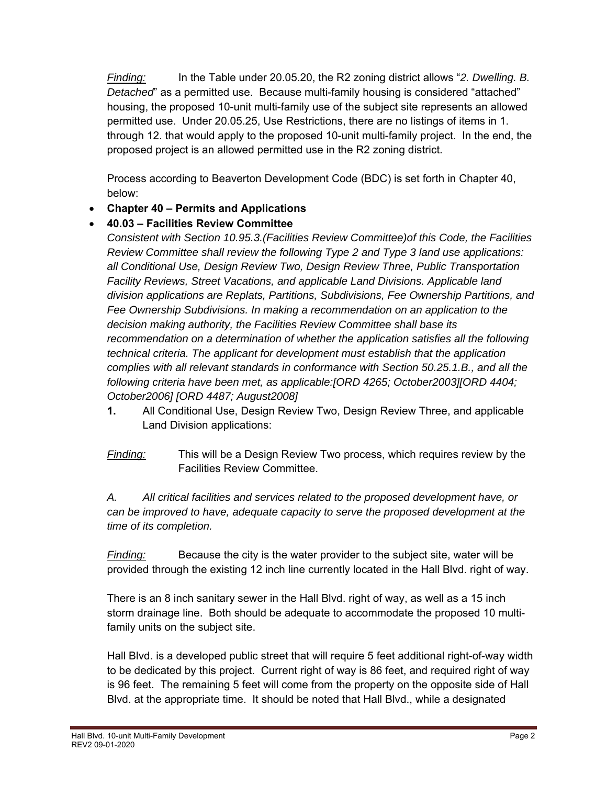*Finding:* In the Table under 20.05.20, the R2 zoning district allows "*2. Dwelling. B. Detached*" as a permitted use. Because multi-family housing is considered "attached" housing, the proposed 10-unit multi-family use of the subject site represents an allowed permitted use. Under 20.05.25, Use Restrictions, there are no listings of items in 1. through 12. that would apply to the proposed 10-unit multi-family project. In the end, the proposed project is an allowed permitted use in the R2 zoning district.

 Process according to Beaverton Development Code (BDC) is set forth in Chapter 40, below:

**Chapter 40 – Permits and Applications** 

# **40.03 – Facilities Review Committee**

*Consistent with Section 10.95.3.(Facilities Review Committee)of this Code, the Facilities Review Committee shall review the following Type 2 and Type 3 land use applications: all Conditional Use, Design Review Two, Design Review Three, Public Transportation Facility Reviews, Street Vacations, and applicable Land Divisions. Applicable land division applications are Replats, Partitions, Subdivisions, Fee Ownership Partitions, and Fee Ownership Subdivisions. In making a recommendation on an application to the decision making authority, the Facilities Review Committee shall base its recommendation on a determination of whether the application satisfies all the following technical criteria. The applicant for development must establish that the application complies with all relevant standards in conformance with Section 50.25.1.B., and all the following criteria have been met, as applicable:[ORD 4265; October2003][ORD 4404; October2006] [ORD 4487; August2008]*

- **1.** All Conditional Use, Design Review Two, Design Review Three, and applicable Land Division applications:
- *Finding:* This will be a Design Review Two process, which requires review by the Facilities Review Committee.

# *A. All critical facilities and services related to the proposed development have, or can be improved to have, adequate capacity to serve the proposed development at the time of its completion.*

*Finding:* Because the city is the water provider to the subject site, water will be provided through the existing 12 inch line currently located in the Hall Blvd. right of way.

 There is an 8 inch sanitary sewer in the Hall Blvd. right of way, as well as a 15 inch storm drainage line. Both should be adequate to accommodate the proposed 10 multi family units on the subject site.

 Hall Blvd. is a developed public street that will require 5 feet additional right-of-way width to be dedicated by this project. Current right of way is 86 feet, and required right of way is 96 feet. The remaining 5 feet will come from the property on the opposite side of Hall Blvd. at the appropriate time. It should be noted that Hall Blvd., while a designated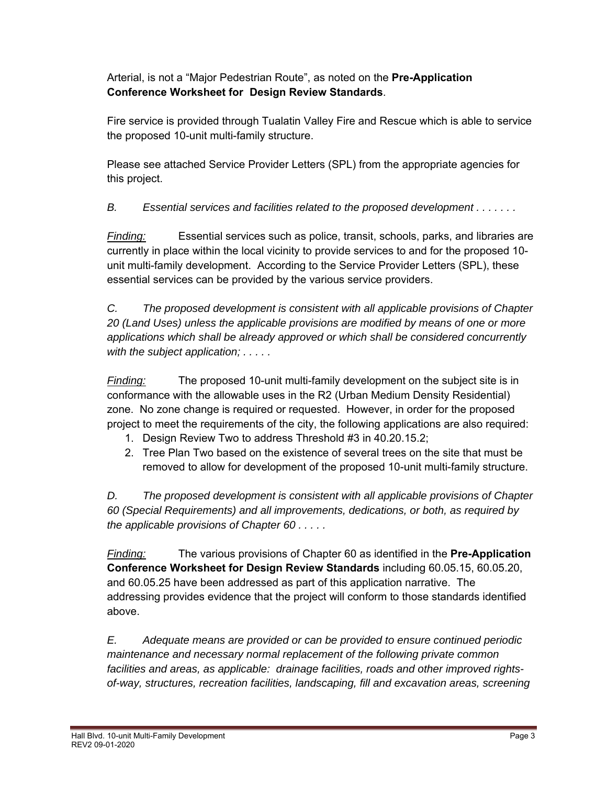Arterial, is not a "Major Pedestrian Route", as noted on the **Pre-Application Conference Worksheet for Design Review Standards**.

 Fire service is provided through Tualatin Valley Fire and Rescue which is able to service the proposed 10-unit multi-family structure.

 Please see attached Service Provider Letters (SPL) from the appropriate agencies for this project.

*B. Essential services and facilities related to the proposed development . . . . . . .* 

*Finding:* Essential services such as police, transit, schools, parks, and libraries are currently in place within the local vicinity to provide services to and for the proposed 10 unit multi-family development. According to the Service Provider Letters (SPL), these essential services can be provided by the various service providers.

*C. The proposed development is consistent with all applicable provisions of Chapter 20 (Land Uses) unless the applicable provisions are modified by means of one or more applications which shall be already approved or which shall be considered concurrently with the subject application; . . . . .* 

*Finding:* The proposed 10-unit multi-family development on the subject site is in conformance with the allowable uses in the R2 (Urban Medium Density Residential) zone. No zone change is required or requested. However, in order for the proposed project to meet the requirements of the city, the following applications are also required:

- 1. Design Review Two to address Threshold #3 in 40.20.15.2;
- 2. Tree Plan Two based on the existence of several trees on the site that must be removed to allow for development of the proposed 10-unit multi-family structure.

*D. The proposed development is consistent with all applicable provisions of Chapter 60 (Special Requirements) and all improvements, dedications, or both, as required by the applicable provisions of Chapter 60 . . . . .* 

*Finding:* The various provisions of Chapter 60 as identified in the **Pre-Application Conference Worksheet for Design Review Standards** including 60.05.15, 60.05.20, and 60.05.25 have been addressed as part of this application narrative. The addressing provides evidence that the project will conform to those standards identified above.

*E. Adequate means are provided or can be provided to ensure continued periodic maintenance and necessary normal replacement of the following private common facilities and areas, as applicable: drainage facilities, roads and other improved rights of-way, structures, recreation facilities, landscaping, fill and excavation areas, screening*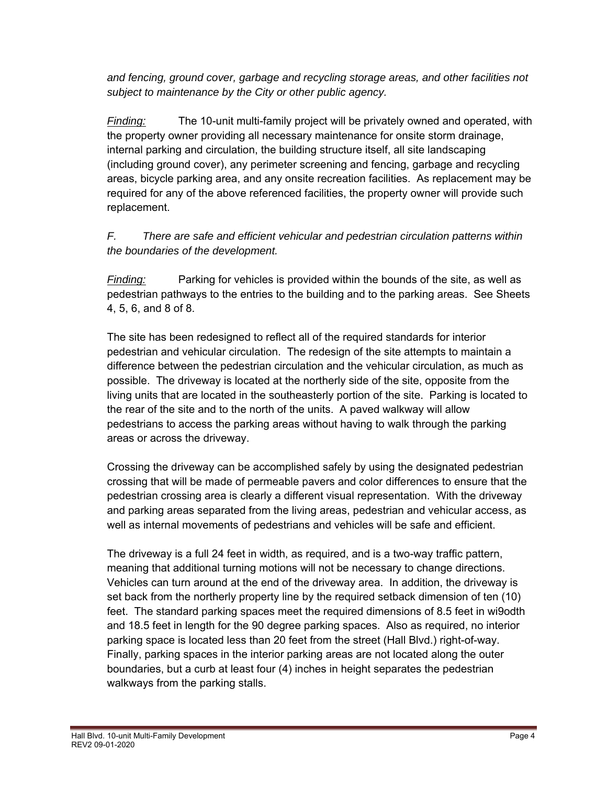*and fencing, ground cover, garbage and recycling storage areas, and other facilities not subject to maintenance by the City or other public agency.* 

*Finding:* The 10-unit multi-family project will be privately owned and operated, with the property owner providing all necessary maintenance for onsite storm drainage, internal parking and circulation, the building structure itself, all site landscaping (including ground cover), any perimeter screening and fencing, garbage and recycling areas, bicycle parking area, and any onsite recreation facilities. As replacement may be required for any of the above referenced facilities, the property owner will provide such replacement.

# *F. There are safe and efficient vehicular and pedestrian circulation patterns within the boundaries of the development.*

*Finding:* Parking for vehicles is provided within the bounds of the site, as well as pedestrian pathways to the entries to the building and to the parking areas. See Sheets 4, 5, 6, and 8 of 8.

 The site has been redesigned to reflect all of the required standards for interior pedestrian and vehicular circulation. The redesign of the site attempts to maintain a difference between the pedestrian circulation and the vehicular circulation, as much as possible. The driveway is located at the northerly side of the site, opposite from the living units that are located in the southeasterly portion of the site. Parking is located to the rear of the site and to the north of the units. A paved walkway will allow pedestrians to access the parking areas without having to walk through the parking areas or across the driveway.

 Crossing the driveway can be accomplished safely by using the designated pedestrian crossing that will be made of permeable pavers and color differences to ensure that the pedestrian crossing area is clearly a different visual representation. With the driveway and parking areas separated from the living areas, pedestrian and vehicular access, as well as internal movements of pedestrians and vehicles will be safe and efficient.

 The driveway is a full 24 feet in width, as required, and is a two-way traffic pattern, meaning that additional turning motions will not be necessary to change directions. Vehicles can turn around at the end of the driveway area. In addition, the driveway is set back from the northerly property line by the required setback dimension of ten (10) feet. The standard parking spaces meet the required dimensions of 8.5 feet in wi9odth and 18.5 feet in length for the 90 degree parking spaces. Also as required, no interior parking space is located less than 20 feet from the street (Hall Blvd.) right-of-way. Finally, parking spaces in the interior parking areas are not located along the outer boundaries, but a curb at least four (4) inches in height separates the pedestrian walkways from the parking stalls.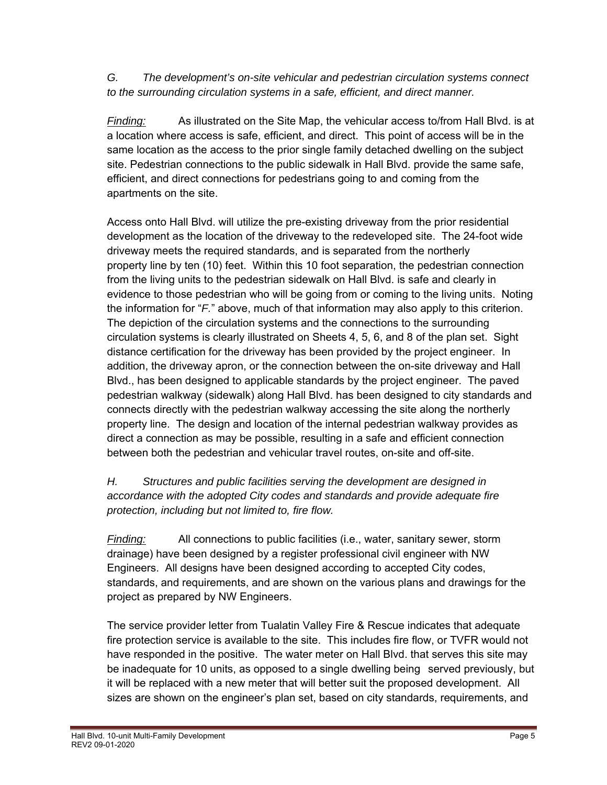*G. The development's on-site vehicular and pedestrian circulation systems connect to the surrounding circulation systems in a safe, efficient, and direct manner.* 

*Finding:* As illustrated on the Site Map, the vehicular access to/from Hall Blvd. is at a location where access is safe, efficient, and direct. This point of access will be in the same location as the access to the prior single family detached dwelling on the subject site. Pedestrian connections to the public sidewalk in Hall Blvd. provide the same safe, efficient, and direct connections for pedestrians going to and coming from the apartments on the site.

 Access onto Hall Blvd. will utilize the pre-existing driveway from the prior residential development as the location of the driveway to the redeveloped site. The 24-foot wide driveway meets the required standards, and is separated from the northerly property line by ten (10) feet. Within this 10 foot separation, the pedestrian connection from the living units to the pedestrian sidewalk on Hall Blvd. is safe and clearly in evidence to those pedestrian who will be going from or coming to the living units. Noting the information for "*F.*" above, much of that information may also apply to this criterion. The depiction of the circulation systems and the connections to the surrounding circulation systems is clearly illustrated on Sheets 4, 5, 6, and 8 of the plan set. Sight distance certification for the driveway has been provided by the project engineer. In addition, the driveway apron, or the connection between the on-site driveway and Hall Blvd., has been designed to applicable standards by the project engineer. The paved pedestrian walkway (sidewalk) along Hall Blvd. has been designed to city standards and connects directly with the pedestrian walkway accessing the site along the northerly property line. The design and location of the internal pedestrian walkway provides as direct a connection as may be possible, resulting in a safe and efficient connection between both the pedestrian and vehicular travel routes, on-site and off-site.

# *H. Structures and public facilities serving the development are designed in accordance with the adopted City codes and standards and provide adequate fire protection, including but not limited to, fire flow.*

*Finding:* All connections to public facilities (i.e., water, sanitary sewer, storm drainage) have been designed by a register professional civil engineer with NW Engineers. All designs have been designed according to accepted City codes, standards, and requirements, and are shown on the various plans and drawings for the project as prepared by NW Engineers.

 The service provider letter from Tualatin Valley Fire & Rescue indicates that adequate fire protection service is available to the site. This includes fire flow, or TVFR would not have responded in the positive. The water meter on Hall Blvd. that serves this site may be inadequate for 10 units, as opposed to a single dwelling being served previously, but it will be replaced with a new meter that will better suit the proposed development. All sizes are shown on the engineer's plan set, based on city standards, requirements, and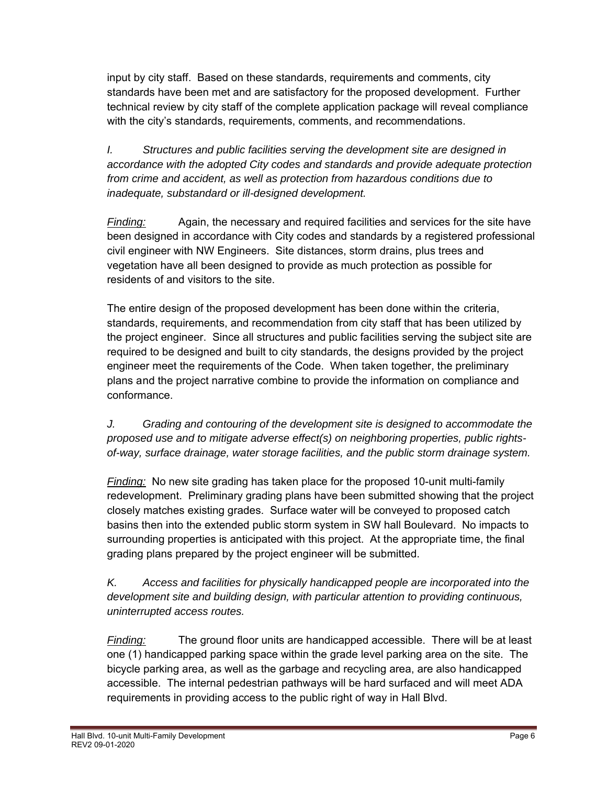input by city staff. Based on these standards, requirements and comments, city standards have been met and are satisfactory for the proposed development. Further technical review by city staff of the complete application package will reveal compliance with the city's standards, requirements, comments, and recommendations.

*I. Structures and public facilities serving the development site are designed in accordance with the adopted City codes and standards and provide adequate protection from crime and accident, as well as protection from hazardous conditions due to inadequate, substandard or ill-designed development.* 

*Finding:* Again, the necessary and required facilities and services for the site have been designed in accordance with City codes and standards by a registered professional civil engineer with NW Engineers. Site distances, storm drains, plus trees and vegetation have all been designed to provide as much protection as possible for residents of and visitors to the site.

 The entire design of the proposed development has been done within the criteria, standards, requirements, and recommendation from city staff that has been utilized by the project engineer. Since all structures and public facilities serving the subject site are required to be designed and built to city standards, the designs provided by the project engineer meet the requirements of the Code. When taken together, the preliminary plans a nd the project narrative combine to provide the information on compliance and conformance.

*J. Grading and contouring of the development site is designed to accommodate the proposed use and to mitigate adverse effect(s) on neighboring properties, public rights of-way, surface drainage, water storage facilities, and the public storm drainage system.* 

*Finding:* No new site grading has taken place for the proposed 10-unit multi-family redevelopment. Preliminary grading plans have been submitted showing that the project closely matches existing grades. Surface water will be conveyed to proposed catch basins then into the extended public storm system in SW hall Boulevard. No impacts to surrounding properties is anticipated with this project. At the appropriate time, the final grading plans prepared by the project engineer will be submitted.

*K. Access and facilities for physically handicapped people are incorporated into the development site and building design, with particular attention to providing continuous, uninterrupted access routes.* 

*Finding:* The ground floor units are handicapped accessible. There will be at least one (1) handicapped parking space within the grade level parking area on the site. The bicycle parking area, as well as the garbage and recycling area, are also handicapped accessible. The internal pedestrian pathways will be hard surfaced and will meet ADA requirements in providing access to the public right of way in Hall Blvd.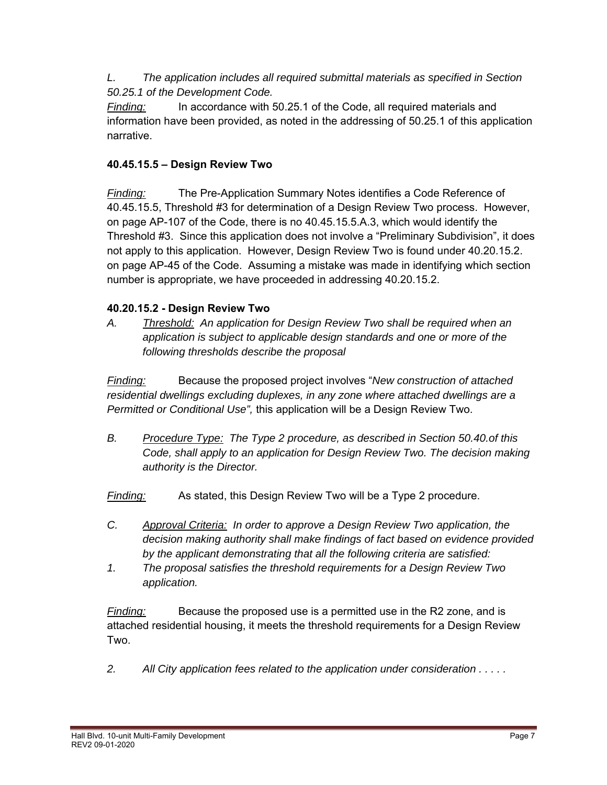*L. The application includes all required submittal materials as specified in Section 50.25.1 of the Development Code.* 

*Finding:* In accordance with 50.25.1 of the Code, all required materials and information have been provided, as noted in the addressing of 50.25.1 of this application narrative.

# **40.45.15.5 – Design Review Two**

*Finding:* The Pre-Application Summary Notes identifies a Code Reference of 40.45.15.5, Threshold #3 for determination of a Design Review Two process. However, on page AP-107 of the Code, there is no 40.45.15.5.A.3, which would identify the Threshold #3. Since this application does not involve a "Preliminary Subdivision", it does not apply to this application. However, Design Review Two is found under 40.20.15.2. on page AP-45 of the Code. Assuming a mistake was made in identifying which section number is appropriate, we have proceeded in addressing 40.20.15.2.

# **40.20.15.2 - Design Review Two**

*A. Threshold: An application for Design Review Two shall be required when an application is subject to applicable design standards and one or more of the following thresholds describe the proposal*

*Finding:* Because the proposed project involves "*New construction of attached residential dwellings excluding duplexes, in any zone where attached dwellings are a Permitted or Conditional Use",* this application will be a Design Review Two.

*B. Procedure Type: The Type 2 procedure, as described in Section 50.40.of this Code, shall apply to an application for Design Review Two. The decision making authority is the Director.* 

*Finding:* As stated, this Design Review Two will be a Type 2 procedure.

- *C. Approval Criteria: In order to approve a Design Review Two application, the decision making authority shall make findings of fact based on evidence provided by the applicant demonstrating that all the following criteria are satisfied:*
- *1. The proposal satisfies the threshold requirements for a Design Review Two application.*

*Finding:* Because the proposed use is a permitted use in the R2 zone, and is attached residential housing, it meets the threshold requirements for a Design Review Two.

*2. All City application fees related to the application under consideration . . . . .*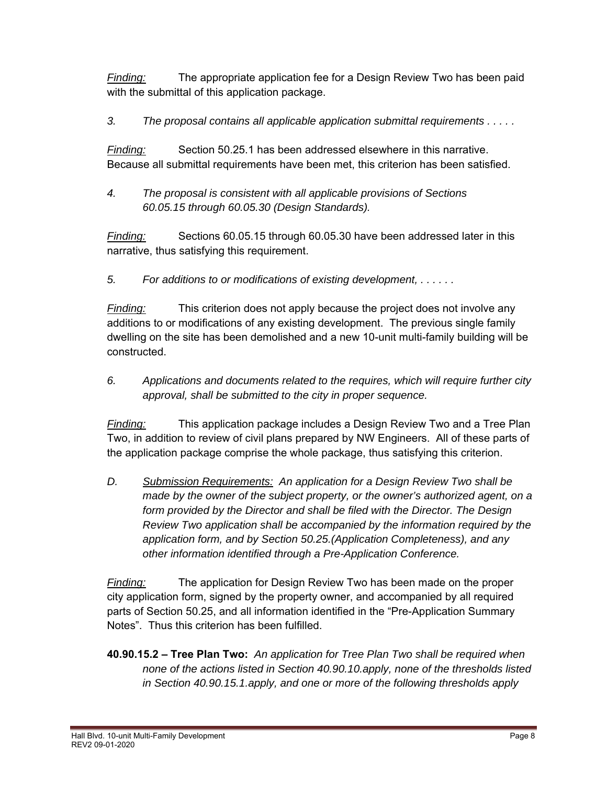*Finding:* The appropriate application fee for a Design Review Two has been paid with the submittal of this application package.

*3. The proposal contains all applicable application submittal requirements . . . . .* 

*Finding:* Section 50.25.1 has been addressed elsewhere in this narrative. Because all submittal requirements have been met, this criterion has been satisfied.

*4. The proposal is consistent with all applicable provisions of Sections 60.05.15 through 60.05.30 (Design Standards).* 

*Finding:* Sections 60.05.15 through 60.05.30 have been addressed later in this narrative, thus satisfying this requirement.

*5. For additions to or modifications of existing development, . . . . . .* 

*Finding:* This criterion does not apply because the project does not involve any additions to or modifications of any existing development. The previous single family dwelling on the site has been demolished and a new 10-unit multi-family building will be constructed.

*6. Applications and documents related to the requires, which will require further city approval, shall be submitted to the city in proper sequence.* 

*Finding:* This application package includes a Design Review Two and a Tree Plan Two, in addition to review of civil plans prepared by NW Engineers. All of these parts of the application package comprise the whole package, thus satisfying this criterion.

*D. Submission Requirements: An application for a Design Review Two shall be made by the owner of the subject property, or the owner's authorized agent, on a form provided by the Director and shall be filed with the Director. The Design Review Two application shall be accompanied by the information required by the application form, and by Section 50.25.(Application Completeness), and any other information identified through a Pre-Application Conference.*

*Finding:* The application for Design Review Two has been made on the proper city application form, signed by the property owner, and accompanied by all required parts of Section 50.25, and all information identified in the "Pre-Application Summary Notes". Thus this criterion has been fulfilled.

**40.90.15.2 – Tree Plan Two:** *An application for Tree Plan Two shall be required when none of the actions listed in Section 40.90.10.apply, none of the thresholds listed in Section 40.90.15.1.apply, and one or more of the following thresholds apply*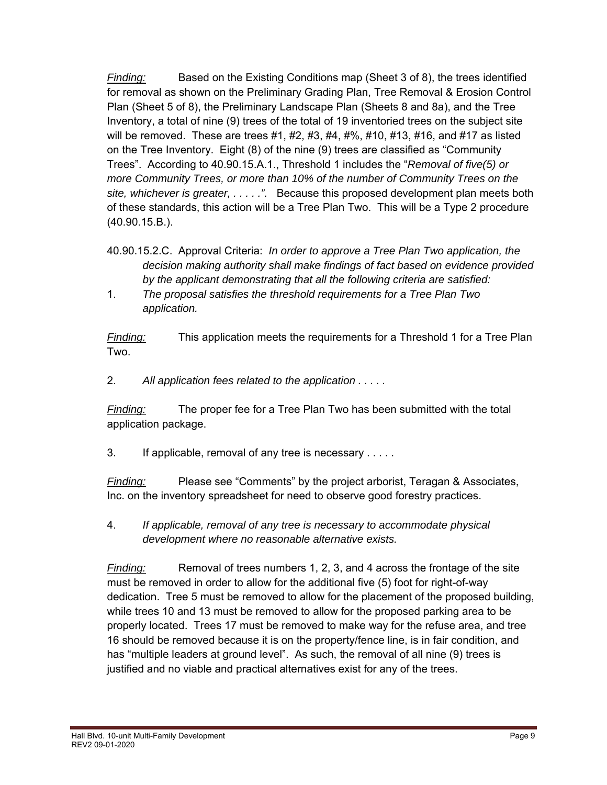*Finding:* Based on the Existing Conditions map (Sheet 3 of 8), the trees identified for removal as shown on the Preliminary Grading Plan, Tree Removal & Erosion Control Plan (Sheet 5 of 8), the Preliminary Landscape Plan (Sheets 8 and 8a), and the Tree Inventory, a total of nine (9) trees of the total of 19 inventoried trees on the subject site will be removed. These are trees  $#1, #2, #3, #4, #\%, #10, #13, #16, and #17 as listed$ on the Tree Inventory. Eight (8) of the nine (9) trees are classified as "Community Trees". According to 40.90.15.A.1., Threshold 1 includes the "*Removal of five(5) or more Community Trees, or more than 10% of the number of Community Trees on the site, whichever is greater, . . . . .".* Because this proposed development plan meets both of these standards, this action will be a Tree Plan Two. This will be a Type 2 procedure (40.90.15.B.).

- 40.90.15.2.C. Approval Criteria: *In order to approve a Tree Plan Two application, the decision making authority shall make findings of fact based on evidence provided by the applicant demonstrating that all the following criteria are satisfied:*
- 1. *The proposal satisfies the threshold requirements for a Tree Plan Two application.*

*Finding:* This application meets the requirements for a Threshold 1 for a Tree Plan Two.

2. *All application fees related to the application . . . . .* 

*Finding:* The proper fee for a Tree Plan Two has been submitted with the total application package.

3. If applicable, removal of any tree is necessary . . . . .

*Finding:* Please see "Comments" by the project arborist, Teragan & Associates, Inc. on the inventory spreadsheet for need to observe good forestry practices.

4. *If applicable, removal of any tree is necessary to accommodate physical development where no reasonable alternative exists.* 

*Finding:* Removal of trees numbers 1, 2, 3, and 4 across the frontage of the site must be removed in order to allow for the additional five (5) foot for right-of-way dedication. Tree 5 must be removed to allow for the placement of the proposed building, while trees 10 and 13 must be removed to allow for the proposed parking area to be properly located. Trees 17 must be removed to make way for the refuse area, and tree 16 should be removed because it is on the property/fence line, is in fair condition, and has "multiple leaders at ground level". As such, the removal of all nine (9) trees is justified and no viable and practical alternatives exist for any of the trees.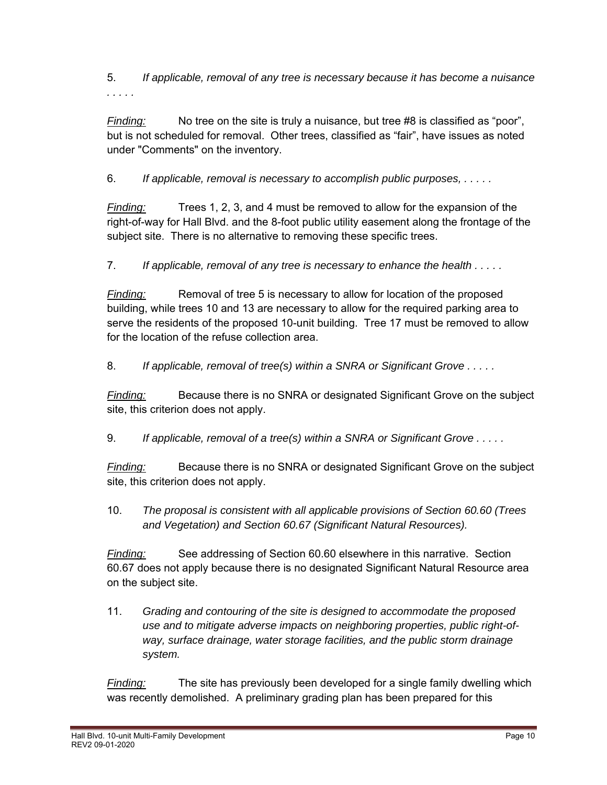5. *If applicable, removal of any tree is necessary because it has become a nuisance* 

*Finding:* No tree on the site is truly a nuisance, but tree #8 is classified as "poor", but is not scheduled for removal. Other trees, classified as "fair", have issues as noted under "Comments" on the inventory.

6. *If applicable, removal is necessary to accomplish public purposes, . . . . .* 

*Finding:* Trees 1, 2, 3, and 4 must be removed to allow for the expansion of the right-of-way for Hall Blvd. and the 8-foot public utility easement along the frontage of the subject site. There is no alternative to removing these specific trees.

7. *If applicable, removal of any tree is necessary to enhance the health . . . . .* 

*Finding:* Removal of tree 5 is necessary to allow for location of the proposed building, while trees 10 and 13 are necessary to allow for the required parking area to serve the residents of the proposed 10-unit building. Tree 17 must be removed to allow for the location of the refuse collection area.

8. *If applicable, removal of tree(s) within a SNRA or Significant Grove . . . . .*

*Finding:* Because there is no SNRA or designated Significant Grove on the subject site, this criterion does not apply.

9. *If applicable, removal of a tree(s) within a SNRA or Significant Grove . . . . .* 

*Finding:* Because there is no SNRA or designated Significant Grove on the subject site, this criterion does not apply.

10. *The proposal is consistent with all applicable provisions of Section 60.60 (Trees and Vegetation) and Section 60.67 (Significant Natural Resources).* 

*Finding:* See addressing of Section 60.60 elsewhere in this narrative. Section 60.67 does not apply because there is no designated Significant Natural Resource area on the subject site.

11. *Grading and contouring of the site is designed to accommodate the proposed use and to mitigate adverse impacts on neighboring properties, public right-of way, surface drainage, water storage facilities, and the public storm drainage system.* 

*Finding:* The site has previously been developed for a single family dwelling which was recently demolished. A preliminary grading plan has been prepared for this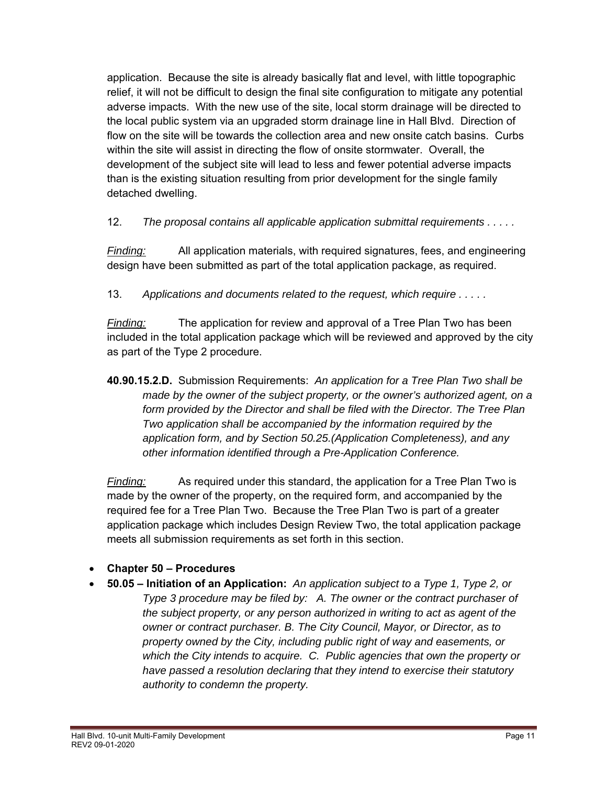application. Because the site is already basically flat and level, with little topographic relief, it will not be difficult to design the final site configuration to mitigate any potential adverse impacts. With the new use of the site, local storm drainage will be directed to the local public system via an upgraded storm drainage line in Hall Blvd. Direction of flow on the site will be towards the collection area and new onsite catch basins. Curbs within the site will assist in directing the flow of onsite stormwater. Overall, the development of the subject site will lead to less and fewer potential adverse impacts than is the existing situation resulting from prior development for the single family detached dwelling.

12. *The proposal contains all applicable application submittal requirements . . . . .* 

*Finding:* All application materials, with required signatures, fees, and engineering design have been submitted as part of the total application package, as required.

13. *Applications and documents related to the request, which require . . . . .* 

*Finding:* The application for review and approval of a Tree Plan Two has been included in the total application package which will be reviewed and approved by the city as part of the Type 2 procedure.

**40.90.15.2.D.** Submission Requirements: *An application for a Tree Plan Two shall be made by the owner of the subject property, or the owner's authorized agent, on a form provided by the Director and shall be filed with the Director. The Tree Plan Two application shall be accompanied by the information required by the application form, and by Section 50.25.(Application Completeness), and any other information identified through a Pre-Application Conference.*

*Finding:* As required under this standard, the application for a Tree Plan Two is made by the owner of the property, on the required form, and accompanied by the required fee for a Tree Plan Two. Because the Tree Plan Two is part of a greater application package which includes Design Review Two, the total application package meets all submission requirements as set forth in this section.

#### **Chapter 50 – Procedures**

 **50.05 – Initiation of an Application:** *An application subject to a Type 1, Type 2, or Type 3 procedure may be filed by: A. The owner or the contract purchaser of the subject property, or any person authorized in writing to act as agent of the owner or contract purchaser. B. The City Council, Mayor, or Director, as to property owned by the City, including public right of way and easements, or which the City intends to acquire. C. Public agencies that own the property or have passed a resolution declaring that they intend to exercise their statutory authority to condemn the property.*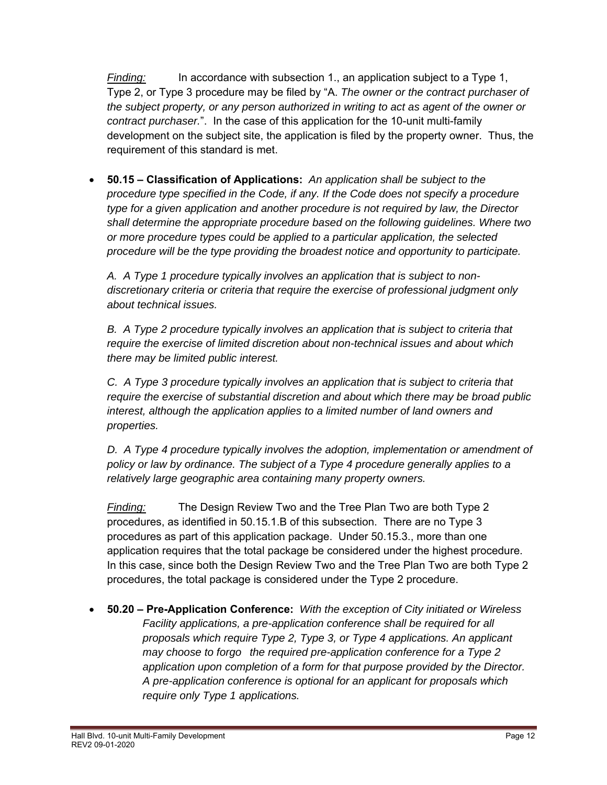*Finding:* In accordance with subsection 1., an application subject to a Type 1, Type 2, or Type 3 procedure may be filed by "A. *The owner or the contract purchaser of the subject property, or any person authorized in writing to act as agent of the owner or contract purchaser.*". In the case of this application for the 10-unit multi-family development on the subject site, the application is filed by the property owner. Thus, the requirement of this standard is met.

 **50.15 – Classification of Applications:** *An application shall be subject to the procedure type specified in the Code, if any. If the Code does not specify a procedure type for a given application and another procedure is not required by law, the Director shall determine the appropriate procedure based on the following guidelines. Where two or more procedure types could be applied to a particular application, the selected procedure will be the type providing the broadest notice and opportunity to participate.* 

 *A. A Type 1 procedure typically involves an application that is subject to non discretionary criteria or criteria that require the exercise of professional judgment only about technical issues.* 

 *B. A Type 2 procedure typically involves an application that is subject to criteria that require the exercise of limited discretion about non-technical issues and about which there may be limited public interest.* 

 *C. A Type 3 procedure typically involves an application that is subject to criteria that require the exercise of substantial discretion and about which there may be broad public interest, although the application applies to a limited number of land owners and properties.* 

 *D. A Type 4 procedure typically involves the adoption, implementation or amendment of policy or law by ordinance. The subject of a Type 4 procedure generally applies to a relatively large geographic area containing many property owners.* 

 *Finding:* The Design Review Two and the Tree Plan Two are both Type 2 procedures, as identified in 50.15.1.B of this subsection. There are no Type 3 procedures as part of this application package. Under 50.15.3., more than one application requires that the total package be considered under the highest procedure. In this case, since both the Design Review Two and the Tree Plan Two are both Type 2 procedures, the total package is considered under the Type 2 procedure.

 **50.20 – Pre-Application Conference:** *With the exception of City initiated or Wireless Facility applications, a pre-application conference shall be required for all proposals which require Type 2, Type 3, or Type 4 applications. An applicant may choose to forgo the required pre-application conference for a Type 2 application upon completion of a form for that purpose provided by the Director. A pre-application conference is optional for an applicant for proposals which require only Type 1 applications.*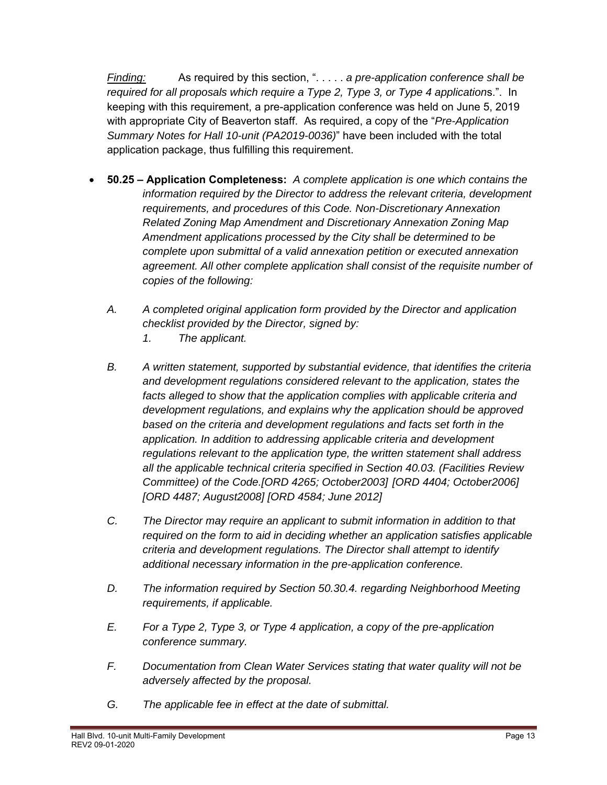*Finding:* As required by this section, ". . . . . *a pre-application conference shall be required for all proposals which require a Type 2, Type 3, or Type 4 application*s.". In keeping with this requirement, a pre-application conference was held on June 5, 2019 with appropriate City of Beaverton staff. As required, a copy of the "*Pre-Application Summary Notes for Hall 10-unit (PA2019-0036)*" have been included with the total application package, thus fulfilling this requirement.

- **50.25 Application Completeness:** *A complete application is one which contains the information required by the Director to address the relevant criteria, development requirements, and procedures of this Code. Non-Discretionary Annexation Related Zoning Map Amendment and Discretionary Annexation Zoning Map Amendment applications processed by the City shall be determined to be complete upon submittal of a valid annexation petition or executed annexation agreement. All other complete application shall consist of the requisite number of copies of the following:*
	- *A. A completed original application form provided by the Director and application checklist provided by the Director, signed by:* 
		- *1. The applicant.*
	- *B. A written statement, supported by substantial evidence, that identifies the criteria and development regulations considered relevant to the application, states the facts alleged to show that the application complies with applicable criteria and development regulations, and explains why the application should be approved based on the criteria and development regulations and facts set forth in the application. In addition to addressing applicable criteria and development regulations relevant to the application type, the written statement shall address all the applicable technical criteria specified in Section 40.03. (Facilities Review Committee) of the Code.[ORD 4265; October2003] [ORD 4404; October2006] [ORD 4487; August2008] [ORD 4584; June 2012]*
	- *C. The Director may require an applicant to submit information in addition to that required on the form to aid in deciding whether an application satisfies applicable criteria and development regulations. The Director shall attempt to identify additional necessary information in the pre-application conference.*
	- *D. The information required by Section 50.30.4. regarding Neighborhood Meeting requirements, if applicable.*
	- *E. For a Type 2, Type 3, or Type 4 application, a copy of the pre-application conference summary.*
	- *F. Documentation from Clean Water Services stating that water quality will not be adversely affected by the proposal.*
	- *G. The applicable fee in effect at the date of submittal.*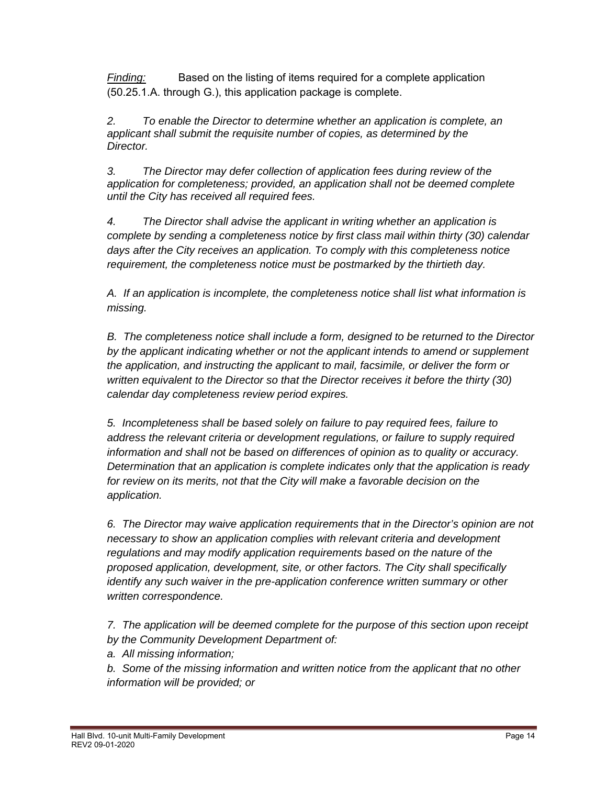*Finding:* Based on the listing of items required for a complete application (50.25.1.A. through G.), this application package is complete.

 *2. To enable the Director to determine whether an application is complete, an applicant shall submit the requisite number of copies, as determined by the Director.* 

 *3. The Director may defer collection of application fees during review of the application for completeness; provided, an application shall not be deemed complete until the City has received all required fees.* 

*4. The Director shall advise the applicant in writing whether an application is complete by sending a completeness notice by first class mail within thirty (30) calendar days after the City receives an application. To comply with this completeness notice requirement, the completeness notice must be postmarked by the thirtieth day.* 

*A. If an application is incomplete, the completeness notice shall list what information is missing.* 

*B. The completeness notice shall include a form, designed to be returned to the Director by the applicant indicating whether or not the applicant intends to amend or supplement the application, and instructing the applicant to mail, facsimile, or deliver the form or written equivalent to the Director so that the Director receives it before the thirty (30) calendar day completeness review period expires.* 

*5. Incompleteness shall be based solely on failure to pay required fees, failure to address the relevant criteria or development regulations, or failure to supply required information and shall not be based on differences of opinion as to quality or accuracy. Determination that an application is complete indicates only that the application is ready for review on its merits, not that the City will make a favorable decision on the application.* 

*6. The Director may waive application requirements that in the Director's opinion are not necessary to show an application complies with relevant criteria and development regulations and may modify application requirements based on the nature of the proposed application, development, site, or other factors. The City shall specifically identify any such waiver in the pre-application conference written summary or other written correspondence.* 

*7. The application will be deemed complete for the purpose of this section upon receipt by the Community Development Department of:* 

*a. All missing information;* 

*b. Some of the missing information and written notice from the applicant that no other information will be provided; or*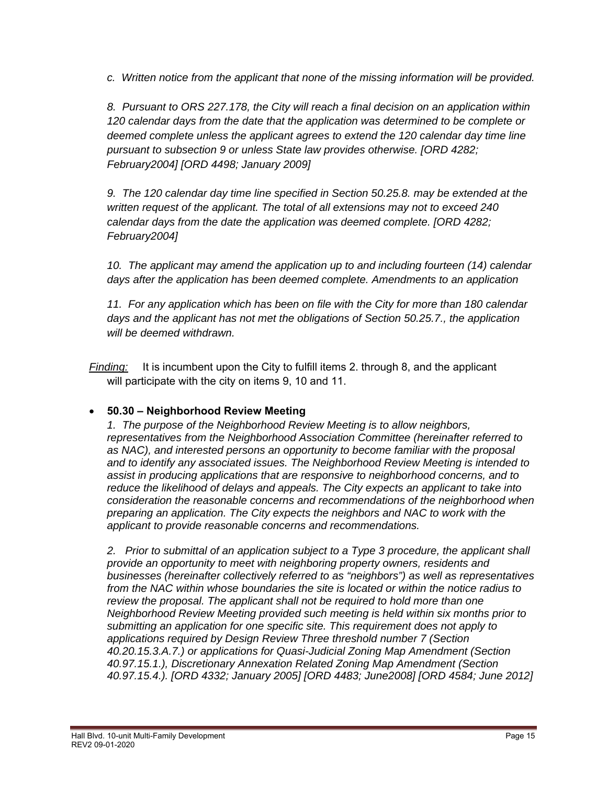*c. Written notice from the applicant that none of the missing information will be provided.* 

 *8. Pursuant to ORS 227.178, the City will reach a final decision on an application within 120 calendar days from the date that the application was determined to be complete or deemed complete unless the applicant agrees to extend the 120 calendar day time line pursuant to subsection 9 or unless State law provides otherwise. [ORD 4282; February2004] [ORD 4498; January 2009]* 

 *9. The 120 calendar day time line specified in Section 50.25.8. may be extended at the written request of the applicant. The total of all extensions may not to exceed 240 calendar days from the date the application was deemed complete. [ORD 4282; February2004]* 

 *10. The applicant may amend the application up to and including fourteen (14) calendar days after the application has been deemed complete. Amendments to an application* 

 *11. For any application which has been on file with the City for more than 180 calendar days and the applicant has not met the obligations of Section 50.25.7., the application will be deemed withdrawn.*

*Finding:* It is incumbent upon the City to fulfill items 2. through 8, and the applicant will participate with the city on items 9, 10 and 11.

#### **50.30 – Neighborhood Review Meeting**

*1. The purpose of the Neighborhood Review Meeting is to allow neighbors, representatives from the Neighborhood Association Committee (hereinafter referred to as NAC), and interested persons an opportunity to become familiar with the proposal and to identify any associated issues. The Neighborhood Review Meeting is intended to assist in producing applications that are responsive to neighborhood concerns, and to reduce the likelihood of delays and appeals. The City expects an applicant to take into consideration the reasonable concerns and recommendations of the neighborhood when preparing an application. The City expects the neighbors and NAC to work with the applicant to provide reasonable concerns and recommendations.* 

*2. Prior to submittal of an application subject to a Type 3 procedure, the applicant shall provide an opportunity to meet with neighboring property owners, residents and businesses (hereinafter collectively referred to as "neighbors") as well as representatives from the NAC within whose boundaries the site is located or within the notice radius to*  review the proposal. The applicant shall not be required to hold more than one *Neighborhood Review Meeting provided such meeting is held within six months prior to submitting an application for one specific site. This requirement does not apply to applications required by Design Review Three threshold number 7 (Section 40.20.15.3.A.7.) or applications for Quasi-Judicial Zoning Map Amendment (Section 40.97.15.1.), Discretionary Annexation Related Zoning Map Amendment (Section 40.97.15.4.). [ORD 4332; January 2005] [ORD 4483; June2008] [ORD 4584; June 2012]*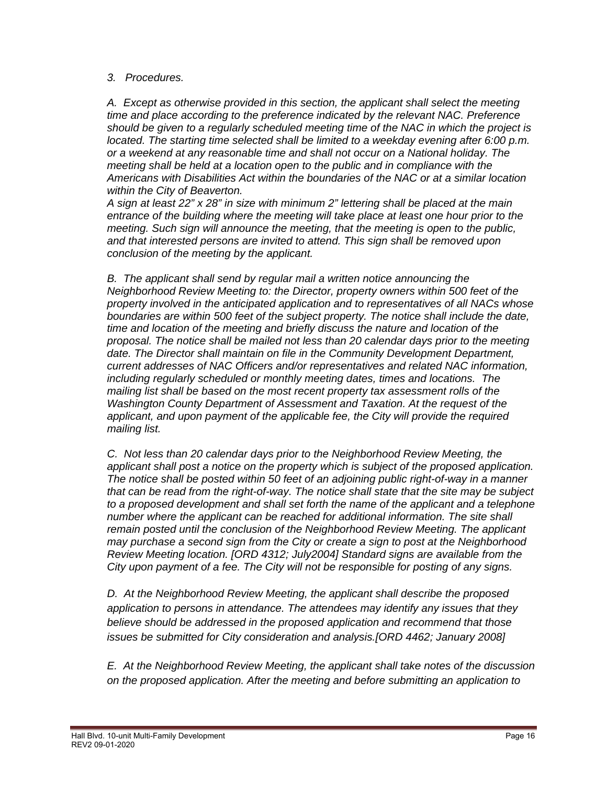#### *3. Procedures.*

 *A. Except as otherwise provided in this section, the applicant shall select the meeting time and place according to the preference indicated by the relevant NAC. Preference should be given to a regularly scheduled meeting time of the NAC in which the project is located. The starting time selected shall be limited to a weekday evening after 6:00 p.m. or a weekend at any reasonable time and shall not occur on a National holiday. The meeting shall be held at a location open to the public and in compliance with the Americans with Disabilities Act within the boundaries of the NAC or at a similar location within the City of Beaverton.* 

*A sign at least 22" x 28" in size with minimum 2" lettering shall be placed at the main entrance of the building where the meeting will take place at least one hour prior to the meeting. Such sign will announce the meeting, that the meeting is open to the public, and that interested persons are invited to attend. This sign shall be removed upon conclusion of the meeting by the applicant.* 

 *B. The applicant shall send by regular mail a written notice announcing the Neighborhood Review Meeting to: the Director, property owners within 500 feet of the property involved in the anticipated application and to representatives of all NACs whose boundaries are within 500 feet of the subject property. The notice shall include the date, time and location of the meeting and briefly discuss the nature and location of the proposal. The notice shall be mailed not less than 20 calendar days prior to the meeting date. The Director shall maintain on file in the Community Development Department, current addresses of NAC Officers and/or representatives and related NAC information, including regularly scheduled or monthly meeting dates, times and locations. The mailing list shall be based on the most recent property tax assessment rolls of the Washington County Department of Assessment and Taxation. At the request of the applicant, and upon payment of the applicable fee, the City will provide the required mailing list.* 

*C. Not less than 20 calendar days prior to the Neighborhood Review Meeting, the applicant shall post a notice on the property which is subject of the proposed application. The notice shall be posted within 50 feet of an adjoining public right-of-way in a manner that can be read from the right-of-way. The notice shall state that the site may be subject to a proposed development and shall set forth the name of the applicant and a telephone number where the applicant can be reached for additional information. The site shall remain posted until the conclusion of the Neighborhood Review Meeting. The applicant may purchase a second sign from the City or create a sign to post at the Neighborhood Review Meeting location. [ORD 4312; July2004] Standard signs are available from the City upon payment of a fee. The City will not be responsible for posting of any signs.*

*D. At the Neighborhood Review Meeting, the applicant shall describe the proposed application to persons in attendance. The attendees may identify any issues that they believe should be addressed in the proposed application and recommend that those issues be submitted for City consideration and analysis.[ORD 4462; January 2008]* 

*E. At the Neighborhood Review Meeting, the applicant shall take notes of the discussion on the proposed application. After the meeting and before submitting an application to*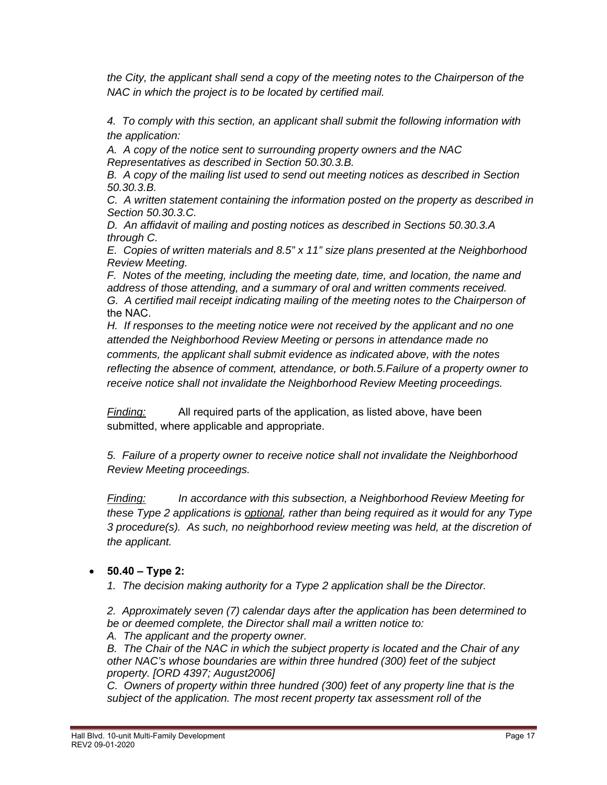*the City, the applicant shall send a copy of the meeting notes to the Chairperson of the NAC in which the project is to be located by certified mail.* 

*4. To comply with this section, an applicant shall submit the following information with the application:* 

 *A. A copy of the notice sent to surrounding property owners and the NAC Representatives as described in Section 50.30.3.B.* 

 *B. A copy of the mailing list used to send out meeting notices as described in Section 50.30.3.B.* 

 *C. A written statement containing the information posted on the property as described in Section 50.30.3.C.* 

 *D. An affidavit of mailing and posting notices as described in Sections 50.30.3.A through C.* 

 *E. Copies of written materials and 8.5" x 11" size plans presented at the Neighborhood Review Meeting.* 

 *F. Notes of the meeting, including the meeting date, time, and location, the name and address of those attending, and a summary of oral and written comments received. G. A certified mail receipt indicating mailing of the meeting notes to the Chairperson of*  the NAC.

*H. If responses to the meeting notice were not received by the applicant and no one attended the Neighborhood Review Meeting or persons in attendance made no comments, the applicant shall submit evidence as indicated above, with the notes reflecting the absence of comment, attendance, or both.5.Failure of a property owner to receive notice shall not invalidate the Neighborhood Review Meeting proceedings.* 

*Finding:* All required parts of the application, as listed above, have been submitted, where applicable and appropriate.

 *5. Failure of a property owner to receive notice shall not invalidate the Neighborhood Review Meeting proceedings.* 

 *Finding: In accordance with this subsection, a Neighborhood Review Meeting for these Type 2 applications is optional, rather than being required as it would for any Type 3 procedure(s). As such, no neighborhood review meeting was held, at the discretion of the applicant.*

#### **50.40 – Type 2:**

*1. The decision making authority for a Type 2 application shall be the Director.* 

*2. Approximately seven (7) calendar days after the application has been determined to be or deemed complete, the Director shall mail a written notice to:* 

*A. The applicant and the property owner.* 

*B. The Chair of the NAC in which the subject property is located and the Chair of any other NAC's whose boundaries are within three hundred (300) feet of the subject property. [ORD 4397; August2006]* 

*C. Owners of property within three hundred (300) feet of any property line that is the subject of the application. The most recent property tax assessment roll of the*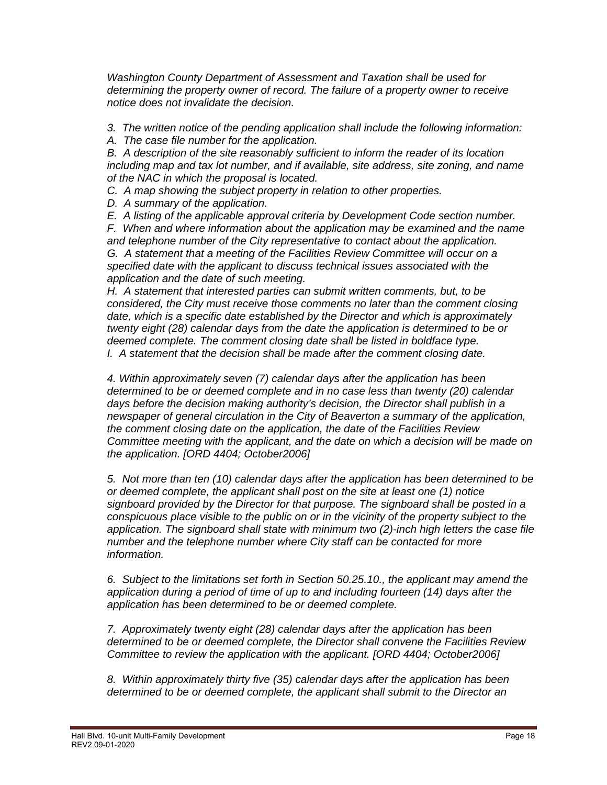*Washington County Department of Assessment and Taxation shall be used for determining the property owner of record. The failure of a property owner to receive notice does not invalidate the decision.* 

*3. The written notice of the pending application shall include the following information:* 

*A. The case file number for the application.* 

*B. A description of the site reasonably sufficient to inform the reader of its location including map and tax lot number, and if available, site address, site zoning, and name of the NAC in which the proposal is located.* 

*C. A map showing the subject property in relation to other properties.* 

*D. A summary of the application.* 

*E. A listing of the applicable approval criteria by Development Code section number.* 

*F. When and where information about the application may be examined and the name and telephone number of the City representative to contact about the application. G. A statement that a meeting of the Facilities Review Committee will occur on a* 

*specified date with the applicant to discuss technical issues associated with the application and the date of such meeting.* 

*H. A statement that interested parties can submit written comments, but, to be considered, the City must receive those comments no later than the comment closing date, which is a specific date established by the Director and which is approximately twenty eight (28) calendar days from the date the application is determined to be or deemed complete. The comment closing date shall be listed in boldface type. I. A statement that the decision shall be made after the comment closing date.* 

*4. Within approximately seven (7) calendar days after the application has been determined to be or deemed complete and in no case less than twenty (20) calendar days before the decision making authority's decision, the Director shall publish in a newspaper of general circulation in the City of Beaverton a summary of the application, the comment closing date on the application, the date of the Facilities Review Committee meeting with the applicant, and the date on which a decision will be made on the application. [ORD 4404; October2006]* 

*5. Not more than ten (10) calendar days after the application has been determined to be or deemed complete, the applicant shall post on the site at least one (1) notice signboard provided by the Director for that purpose. The signboard shall be posted in a conspicuous place visible to the public on or in the vicinity of the property subject to the application. The signboard shall state with minimum two (2)-inch high letters the case file number and the telephone number where City staff can be contacted for more information.* 

*6. Subject to the limitations set forth in Section 50.25.10., the applicant may amend the application during a period of time of up to and including fourteen (14) days after the application has been determined to be or deemed complete.*

*7. Approximately twenty eight (28) calendar days after the application has been determined to be or deemed complete, the Director shall convene the Facilities Review Committee to review the application with the applicant. [ORD 4404; October2006]* 

*8. Within approximately thirty five (35) calendar days after the application has been determined to be or deemed complete, the applicant shall submit to the Director an*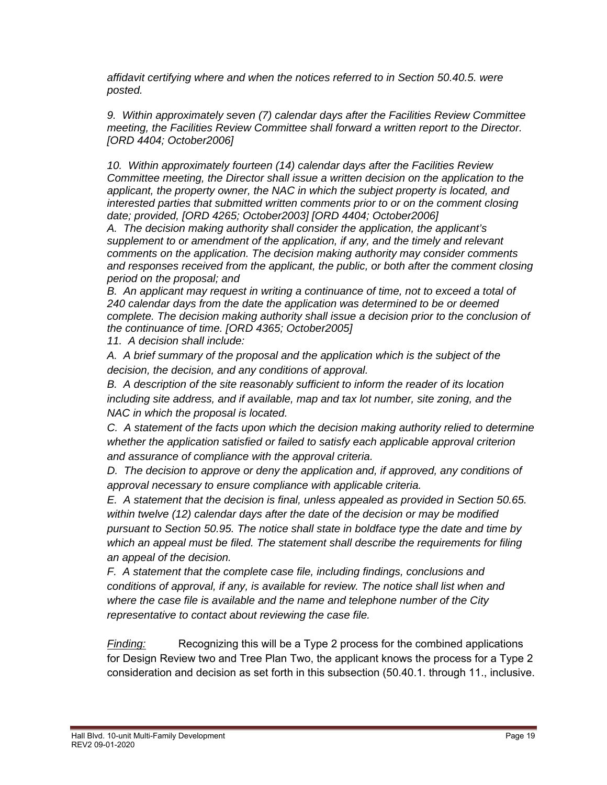*affidavit certifying where and when the notices referred to in Section 50.40.5. were posted.* 

*9. Within approximately seven (7) calendar days after the Facilities Review Committee meeting, the Facilities Review Committee shall forward a written report to the Director. [ORD 4404; October2006]* 

*10. Within approximately fourteen (14) calendar days after the Facilities Review Committee meeting, the Director shall issue a written decision on the application to the applicant, the property owner, the NAC in which the subject property is located, and interested parties that submitted written comments prior to or on the comment closing date; provided, [ORD 4265; October2003] [ORD 4404; October2006]* 

*A. The decision making authority shall consider the application, the applicant's supplement to or amendment of the application, if any, and the timely and relevant comments on the application. The decision making authority may consider comments and responses received from the applicant, the public, or both after the comment closing period on the proposal; and* 

*B. An applicant may request in writing a continuance of time, not to exceed a total of 240 calendar days from the date the application was determined to be or deemed complete. The decision making authority shall issue a decision prior to the conclusion of the continuance of time. [ORD 4365; October2005]*

*11. A decision shall include:* 

*A. A brief summary of the proposal and the application which is the subject of the decision, the decision, and any conditions of approval.* 

*B. A description of the site reasonably sufficient to inform the reader of its location including site address, and if available, map and tax lot number, site zoning, and the NAC in which the proposal is located.* 

*C. A statement of the facts upon which the decision making authority relied to determine whether the application satisfied or failed to satisfy each applicable approval criterion and assurance of compliance with the approval criteria.* 

*D. The decision to approve or deny the application and, if approved, any conditions of approval necessary to ensure compliance with applicable criteria.* 

*E. A statement that the decision is final, unless appealed as provided in Section 50.65. within twelve (12) calendar days after the date of the decision or may be modified pursuant to Section 50.95. The notice shall state in boldface type the date and time by which an appeal must be filed. The statement shall describe the requirements for filing an appeal of the decision.* 

*F. A statement that the complete case file, including findings, conclusions and conditions of approval, if any, is available for review. The notice shall list when and where the case file is available and the name and telephone number of the City representative to contact about reviewing the case file.* 

*Finding:* Recognizing this will be a Type 2 process for the combined applications for Design Review two and Tree Plan Two, the applicant knows the process for a Type 2 consideration and decision as set forth in this subsection (50.40.1. through 11., inclusive.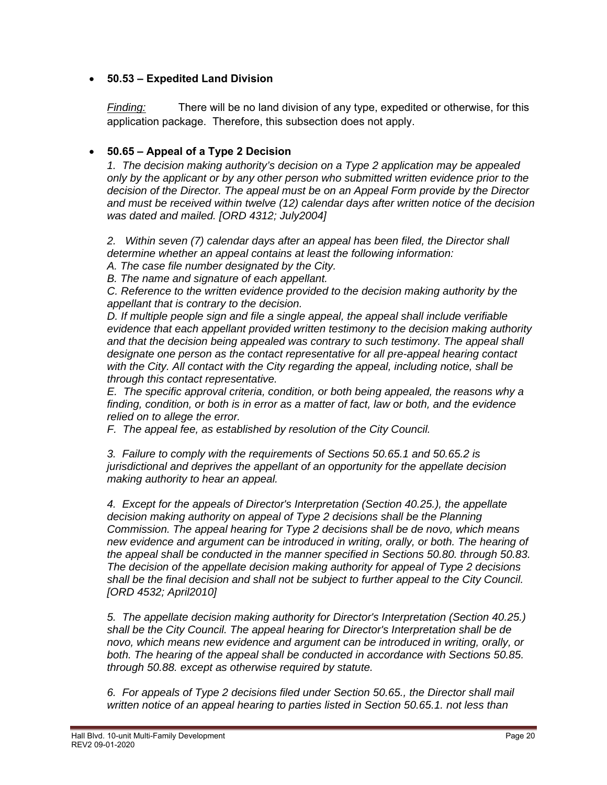#### **50.53 – Expedited Land Division**

*Finding:* There will be no land division of any type, expedited or otherwise, for this application package. Therefore, this subsection does not apply.

### **50.65 – Appeal of a Type 2 Decision**

*1. The decision making authority's decision on a Type 2 application may be appealed only by the applicant or by any other person who submitted written evidence prior to the decision of the Director. The appeal must be on an Appeal Form provide by the Director and must be received within twelve (12) calendar days after written notice of the decision was dated and mailed. [ORD 4312; July2004]* 

2. Within seven (7) calendar days after an appeal has been filed, the Director shall *determine whether an appeal contains at least the following information:* 

*A. The case file number designated by the City.* 

*B. The name and signature of each appellant.* 

*C. Reference to the written evidence provided to the decision making authority by the appellant that is contrary to the decision.* 

*D. If multiple people sign and file a single appeal, the appeal shall include verifiable evidence that each appellant provided written testimony to the decision making authority and that the decision being appealed was contrary to such testimony. The appeal shall designate one person as the contact representative for all pre-appeal hearing contact with the City. All contact with the City regarding the appeal, including notice, shall be through this contact representative.* 

*E. The specific approval criteria, condition, or both being appealed, the reasons why a finding, condition, or both is in error as a matter of fact, law or both, and the evidence relied on to allege the error.* 

*F. The appeal fee, as established by resolution of the City Council.* 

*3. Failure to comply with the requirements of Sections 50.65.1 and 50.65.2 is jurisdictional and deprives the appellant of an opportunity for the appellate decision making authority to hear an appeal.*

*4. Except for the appeals of Director's Interpretation (Section 40.25.), the appellate decision making authority on appeal of Type 2 decisions shall be the Planning Commission. The appeal hearing for Type 2 decisions shall be de novo, which means new evidence and argument can be introduced in writing, orally, or both. The hearing of the appeal shall be conducted in the manner specified in Sections 50.80. through 50.83. The decision of the appellate decision making authority for appeal of Type 2 decisions shall be the final decision and shall not be subject to further appeal to the City Council. [ORD 4532; April2010]* 

*5. The appellate decision making authority for Director's Interpretation (Section 40.25.) shall be the City Council. The appeal hearing for Director's Interpretation shall be de novo, which means new evidence and argument can be introduced in writing, orally, or both. The hearing of the appeal shall be conducted in accordance with Sections 50.85. through 50.88. except as otherwise required by statute.* 

*6. For appeals of Type 2 decisions filed under Section 50.65., the Director shall mail written notice of an appeal hearing to parties listed in Section 50.65.1. not less than*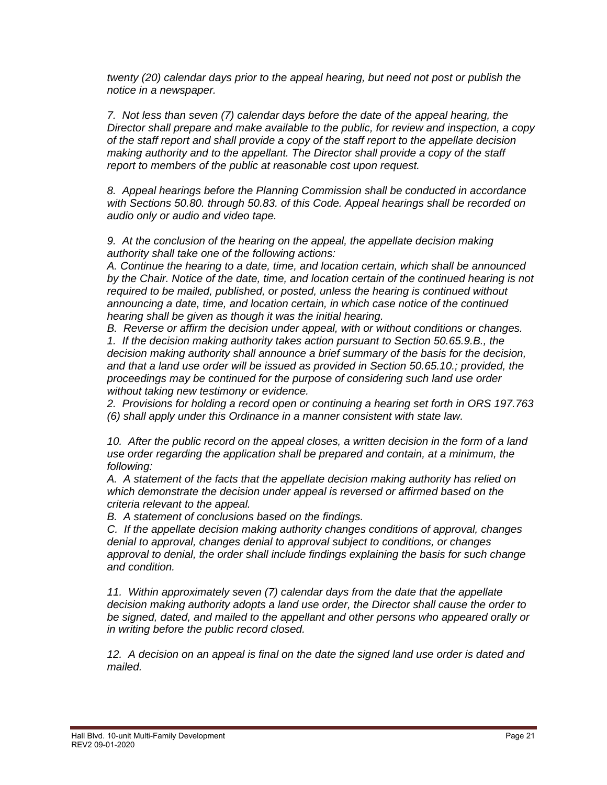*twenty (20) calendar days prior to the appeal hearing, but need not post or publish the notice in a newspaper.* 

*7. Not less than seven (7) calendar days before the date of the appeal hearing, the Director shall prepare and make available to the public, for review and inspection, a copy of the staff report and shall provide a copy of the staff report to the appellate decision making authority and to the appellant. The Director shall provide a copy of the staff report to members of the public at reasonable cost upon request.* 

*8. Appeal hearings before the Planning Commission shall be conducted in accordance with Sections 50.80. through 50.83. of this Code. Appeal hearings shall be recorded on audio only or audio and video tape.* 

*9. At the conclusion of the hearing on the appeal, the appellate decision making authority shall take one of the following actions:* 

*A. Continue the hearing to a date, time, and location certain, which shall be announced by the Chair. Notice of the date, time, and location certain of the continued hearing is not required to be mailed, published, or posted, unless the hearing is continued without announcing a date, time, and location certain, in which case notice of the continued hearing shall be given as though it was the initial hearing.*

*B. Reverse or affirm the decision under appeal, with or without conditions or changes. 1. If the decision making authority takes action pursuant to Section 50.65.9.B., the decision making authority shall announce a brief summary of the basis for the decision, and that a land use order will be issued as provided in Section 50.65.10.; provided, the proceedings may be continued for the purpose of considering such land use order without taking new testimony or evidence.* 

*2. Provisions for holding a record open or continuing a hearing set forth in ORS 197.763 (6) shall apply under this Ordinance in a manner consistent with state law.* 

*10. After the public record on the appeal closes, a written decision in the form of a land use order regarding the application shall be prepared and contain, at a minimum, the following:* 

*A. A statement of the facts that the appellate decision making authority has relied on which demonstrate the decision under appeal is reversed or affirmed based on the criteria relevant to the appeal.* 

*B. A statement of conclusions based on the findings.* 

*C. If the appellate decision making authority changes conditions of approval, changes denial to approval, changes denial to approval subject to conditions, or changes approval to denial, the order shall include findings explaining the basis for such change and condition.* 

*11. Within approximately seven (7) calendar days from the date that the appellate decision making authority adopts a land use order, the Director shall cause the order to be signed, dated, and mailed to the appellant and other persons who appeared orally or in writing before the public record closed.* 

12. A decision on an appeal is final on the date the signed land use order is dated and *mailed.*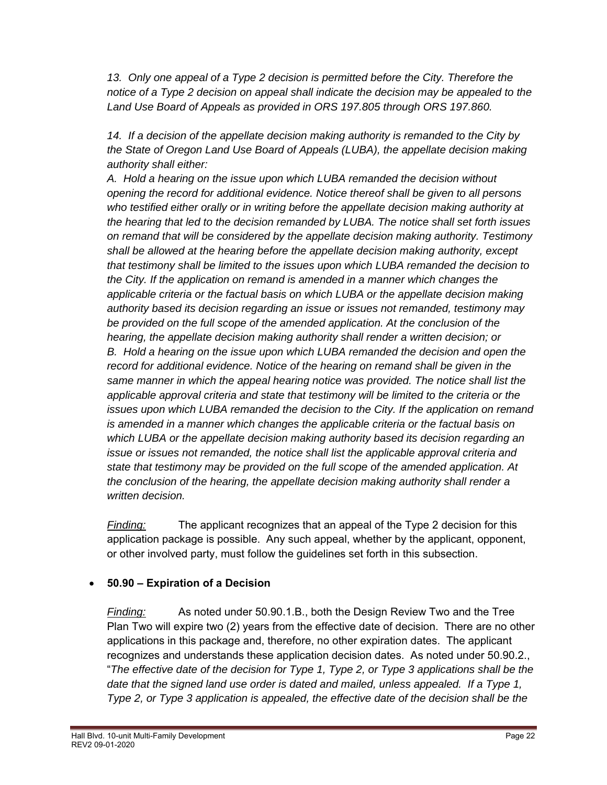13. Only one appeal of a Type 2 decision is permitted before the City. Therefore the *notice of a Type 2 decision on appeal shall indicate the decision may be appealed to the Land Use Board of Appeals as provided in ORS 197.805 through ORS 197.860.* 

*14. If a decision of the appellate decision making authority is remanded to the City by the State of Oregon Land Use Board of Appeals (LUBA), the appellate decision making authority shall either:* 

*A. Hold a hearing on the issue upon which LUBA remanded the decision without opening the record for additional evidence. Notice thereof shall be given to all persons who testified either orally or in writing before the appellate decision making authority at the hearing that led to the decision remanded by LUBA. The notice shall set forth issues on remand that will be considered by the appellate decision making authority. Testimony shall be allowed at the hearing before the appellate decision making authority, except that testimony shall be limited to the issues upon which LUBA remanded the decision to the City. If the application on remand is amended in a manner which changes the applicable criteria or the factual basis on which LUBA or the appellate decision making authority based its decision regarding an issue or issues not remanded, testimony may be provided on the full scope of the amended application. At the conclusion of the hearing, the appellate decision making authority shall render a written decision; or B. Hold a hearing on the issue upon which LUBA remanded the decision and open the record for additional evidence. Notice of the hearing on remand shall be given in the same manner in which the appeal hearing notice was provided. The notice shall list the applicable approval criteria and state that testimony will be limited to the criteria or the issues upon which LUBA remanded the decision to the City. If the application on remand is amended in a manner which changes the applicable criteria or the factual basis on which LUBA or the appellate decision making authority based its decision regarding an issue or issues not remanded, the notice shall list the applicable approval criteria and state that testimony may be provided on the full scope of the amended application. At the conclusion of the hearing, the appellate decision making authority shall render a written decision.* 

*Finding:* The applicant recognizes that an appeal of the Type 2 decision for this application package is possible. Any such appeal, whether by the applicant, opponent, or other involved party, must follow the guidelines set forth in this subsection.

# **50.90 – Expiration of a Decision**

*Finding:* As noted under 50.90.1.B., both the Design Review Two and the Tree Plan Two will expire two (2) years from the effective date of decision. There are no other applications in this package and, therefore, no other expiration dates. The applicant recognizes and understands these application decision dates. As noted under 50.90.2., "*The effective date of the decision for Type 1, Type 2, or Type 3 applications shall be the date that the signed land use order is dated and mailed, unless appealed. If a Type 1, Type 2, or Type 3 application is appealed, the effective date of the decision shall be the*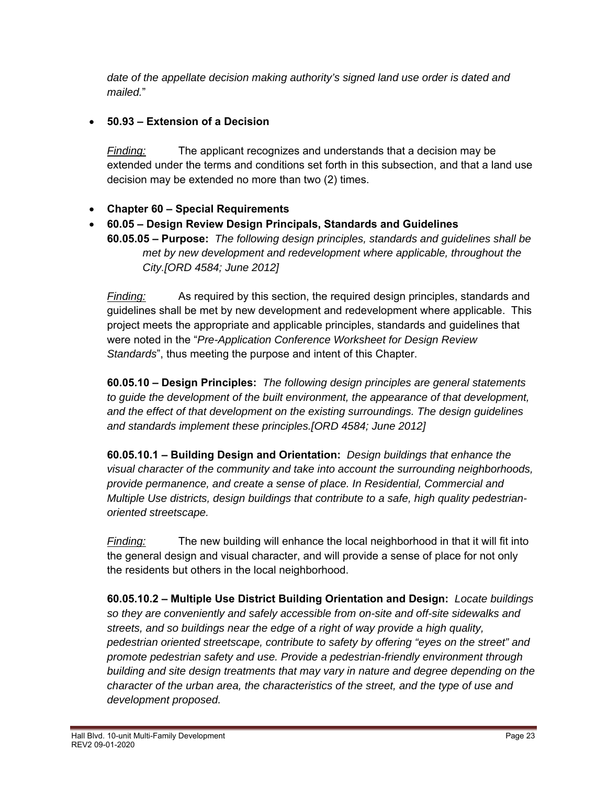*date of the appellate decision making authority's signed land use order is dated and mailed.*"

### **50.93 – Extension of a Decision**

*Finding:* The applicant recognizes and understands that a decision may be extended under the terms and conditions set forth in this subsection, and that a land use decision may be extended no more than two (2) times.

### **Chapter 60 – Special Requirements**

 **60.05 – Design Review Design Principals, Standards and Guidelines 60.05.05 – Purpose:** *The following design principles, standards and guidelines shall be met by new development and redevelopment where applicable, throughout the City.[ORD 4584; June 2012]*

*Finding:* As required by this section, the required design principles, standards and guidelines shall be met by new development and redevelopment where applicable. This project meets the appropriate and applicable principles, standards and guidelines that were noted in the "*Pre-Application Conference Worksheet for Design Review Standards*", thus meeting the purpose and intent of this Chapter.

**60.05.10 – Design Principles:** *The following design principles are general statements to guide the development of the built environment, the appearance of that development, and the effect of that development on the existing surroundings. The design guidelines and standards implement these principles.[ORD 4584; June 2012]*

**60.05.10.1 – Building Design and Orientation:** *Design buildings that enhance the visual character of the community and take into account the surrounding neighborhoods, provide permanence, and create a sense of place. In Residential, Commercial and Multiple Use districts, design buildings that contribute to a safe, high quality pedestrianoriented streetscape.*

*Finding:* The new building will enhance the local neighborhood in that it will fit into the general design and visual character, and will provide a sense of place for not only the residents but others in the local neighborhood.

**60.05.10.2 – Multiple Use District Building Orientation and Design:** *Locate buildings so they are conveniently and safely accessible from on-site and off-site sidewalks and streets, and so buildings near the edge of a right of way provide a high quality, pedestrian oriented streetscape, contribute to safety by offering "eyes on the street" and promote pedestrian safety and use. Provide a pedestrian-friendly environment through building and site design treatments that may vary in nature and degree depending on the character of the urban area, the characteristics of the street, and the type of use and development proposed.*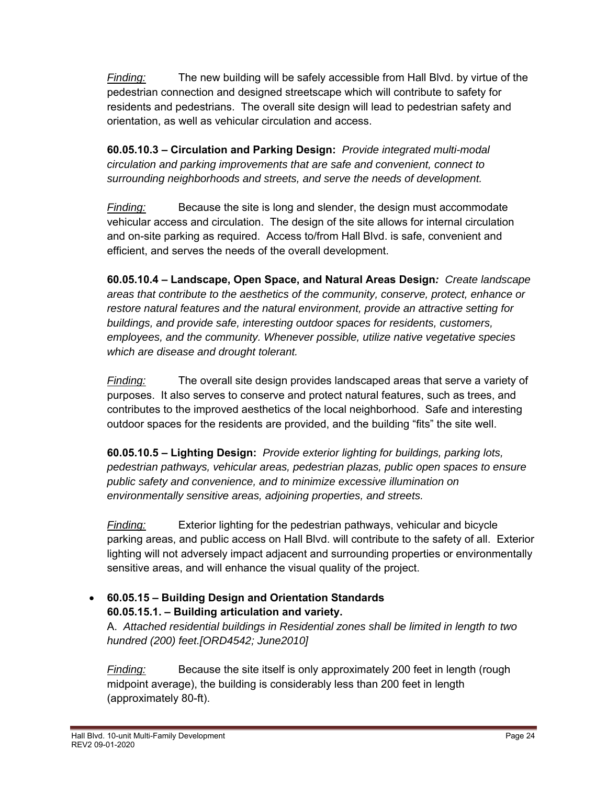*Finding:* The new building will be safely accessible from Hall Blvd. by virtue of the pedestrian connection and designed streetscape which will contribute to safety for residents and pedestrians. The overall site design will lead to pedestrian safety and orientation, as well as vehicular circulation and access.

**60.05.10.3 – Circulation and Parking Design:** *Provide integrated multi-modal circulation and parking improvements that are safe and convenient, connect to surrounding neighborhoods and streets, and serve the needs of development.*

*Finding:* Because the site is long and slender, the design must accommodate vehicular access and circulation. The design of the site allows for internal circulation and on-site parking as required. Access to/from Hall Blvd. is safe, convenient and efficient, and serves the needs of the overall development.

**60.05.10.4 – Landscape, Open Space, and Natural Areas Design***: Create landscape areas that contribute to the aesthetics of the community, conserve, protect, enhance or restore natural features and the natural environment, provide an attractive setting for buildings, and provide safe, interesting outdoor spaces for residents, customers, employees, and the community. Whenever possible, utilize native vegetative species which are disease and drought tolerant.*

*Finding:* The overall site design provides landscaped areas that serve a variety of purposes. It also serves to conserve and protect natural features, such as trees, and contributes to the improved aesthetics of the local neighborhood. Safe and interesting outdoor spaces for the residents are provided, and the building "fits" the site well.

**60.05.10.5 – Lighting Design:** *Provide exterior lighting for buildings, parking lots, pedestrian pathways, vehicular areas, pedestrian plazas, public open spaces to ensure public safety and convenience, and to minimize excessive illumination on environmentally sensitive areas, adjoining properties, and streets.*

*Finding:* Exterior lighting for the pedestrian pathways, vehicular and bicycle parking areas, and public access on Hall Blvd. will contribute to the safety of all. Exterior lighting will not adversely impact adjacent and surrounding properties or environmentally sensitive areas, and will enhance the visual quality of the project.

# **60.05.15 – Building Design and Orientation Standards 60.05.15.1. – Building articulation and variety.**

A. *Attached residential buildings in Residential zones shall be limited in length to two hundred (200) feet.[ORD4542; June2010]*

*Finding:* Because the site itself is only approximately 200 feet in length (rough midpoint average), the building is considerably less than 200 feet in length (approximately 80-ft).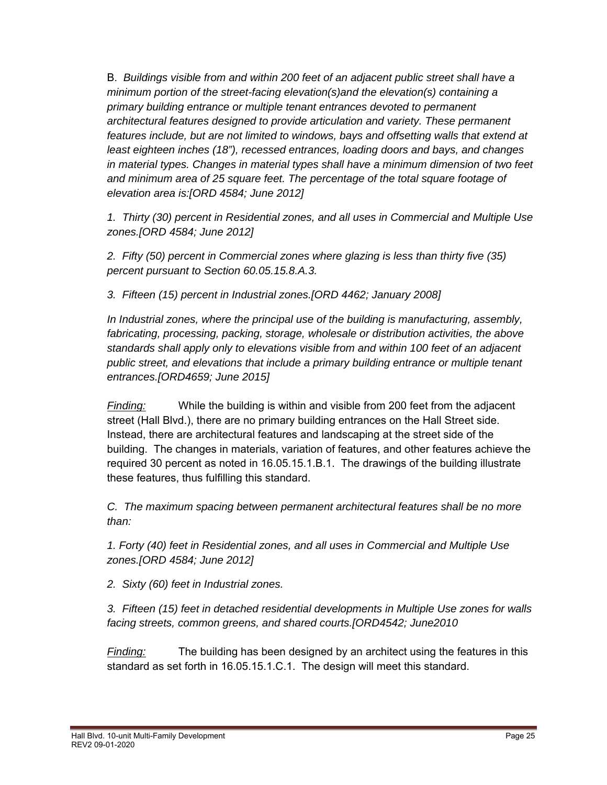B. *Buildings visible from and within 200 feet of an adjacent public street shall have a minimum portion of the street-facing elevation(s)and the elevation(s) containing a primary building entrance or multiple tenant entrances devoted to permanent architectural features designed to provide articulation and variety. These permanent*  features include, but are not limited to windows, bays and offsetting walls that extend at  *least eighteen inches (18"), recessed entrances, loading doors and bays, and changes in material types. Changes in material types shall have a minimum dimension of two feet and minimum area of 25 square feet. The percentage of the total square footage of elevation area is:[ORD 4584; June 2012]* 

 *1. Thirty (30) percent in Residential zones, and all uses in Commercial and Multiple Use zones.[ORD 4584; June 2012]* 

 *2. Fifty (50) percent in Commercial zones where glazing is less than thirty five (35) percent pursuant to Section 60.05.15.8.A.3.* 

 *3. Fifteen (15) percent in Industrial zones.[ORD 4462; January 2008]* 

 *In Industrial zones, where the principal use of the building is manufacturing, assembly, fabricating, processing, packing, storage, wholesale or distribution activities, the above standards shall apply only to elevations visible from and within 100 feet of an adjacent public street, and elevations that include a primary building entrance or multiple tenant entrances.[ORD4659; June 2015]*

*Finding:* While the building is within and visible from 200 feet from the adjacent street (Hall Blvd.), there are no primary building entrances on the Hall Street side. Instead, there are architectural features and landscaping at the street side of the building. The changes in materials, variation of features, and other features achieve the required 30 percent as noted in 16.05.15.1.B.1. The drawings of the building illustrate these features, thus fulfilling this standard.

 *C. The maximum spacing between permanent architectural features shall be no more than:* 

 *1. Forty (40) feet in Residential zones, and all uses in Commercial and Multiple Use zones.[ORD 4584; June 2012]* 

 *2. Sixty (60) feet in Industrial zones.* 

*3. Fifteen (15) feet in detached residential developments in Multiple Use zones for walls facing streets, common greens, and shared courts.[ORD4542; June2010*

*Finding:* The building has been designed by an architect using the features in this standard as set forth in 16.05.15.1.C.1. The design will meet this standard.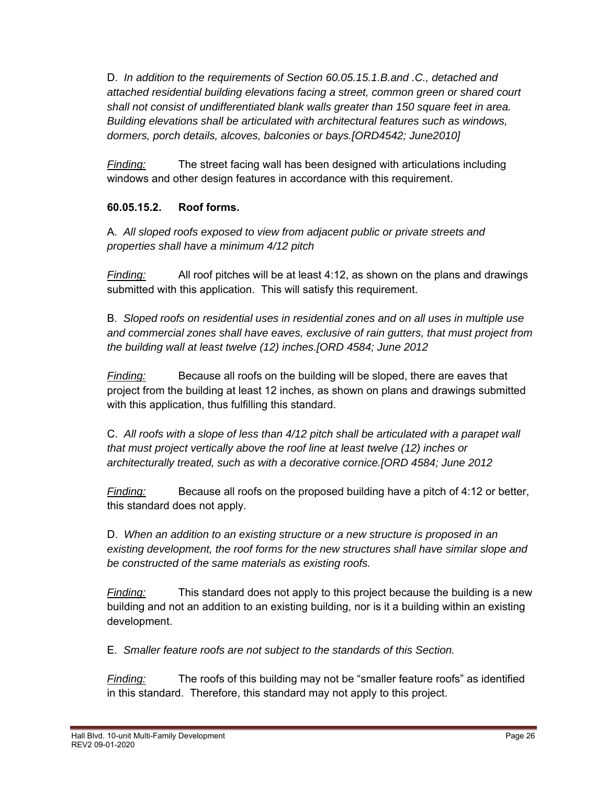D. *In addition to the requirements of Section 60.05.15.1.B.and .C., detached and attached residential building elevations facing a street, common green or shared court shall not consist of undifferentiated blank walls greater than 150 square feet in area. Building elevations shall be articulated with architectural features such as windows, dormers, porch details, alcoves, balconies or bays.[ORD4542; June2010]*

*Finding:* The street facing wall has been designed with articulations including windows and other design features in accordance with this requirement.

# **60.05.15.2. Roof forms.**

A. *All sloped roofs exposed to view from adjacent public or private streets and properties shall have a minimum 4/12 pitch*

*Finding:* All roof pitches will be at least 4:12, as shown on the plans and drawings submitted with this application. This will satisfy this requirement.

B. *Sloped roofs on residential uses in residential zones and on all uses in multiple use and commercial zones shall have eaves, exclusive of rain gutters, that must project from the building wall at least twelve (12) inches.[ORD 4584; June 2012*

*Finding:* Because all roofs on the building will be sloped, there are eaves that project from the building at least 12 inches, as shown on plans and drawings submitted with this application, thus fulfilling this standard.

C. *All roofs with a slope of less than 4/12 pitch shall be articulated with a parapet wall that must project vertically above the roof line at least twelve (12) inches or architecturally treated, such as with a decorative cornice.[ORD 4584; June 2012* 

*Finding:* Because all roofs on the proposed building have a pitch of 4:12 or better, this standard does not apply.

D. *When an addition to an existing structure or a new structure is proposed in an existing development, the roof forms for the new structures shall have similar slope and be constructed of the same materials as existing roofs.*

*Finding:* This standard does not apply to this project because the building is a new building and not an addition to an existing building, nor is it a building within an existing development.

E. *Smaller feature roofs are not subject to the standards of this Section.* 

*Finding:* The roofs of this building may not be "smaller feature roofs" as identified in this standard. Therefore, this standard may not apply to this project.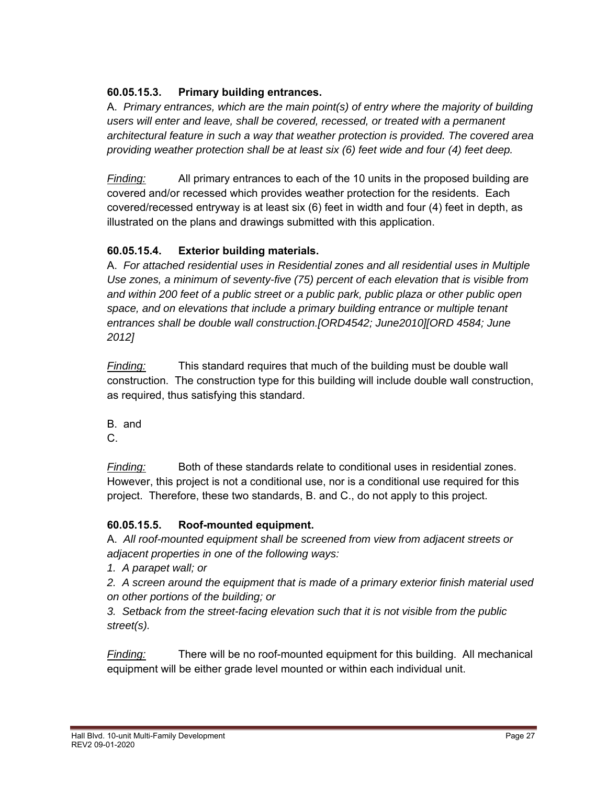# **60.05.15.3. Primary building entrances.**

A. *Primary entrances, which are the main point(s) of entry where the majority of building users will enter and leave, shall be covered, recessed, or treated with a permanent architectural feature in such a way that weather protection is provided. The covered area providing weather protection shall be at least six (6) feet wide and four (4) feet deep.*

*Finding:* All primary entrances to each of the 10 units in the proposed building are covered and/or recessed which provides weather protection for the residents. Each covered/recessed entryway is at least six (6) feet in width and four (4) feet in depth, as illustrated on the plans and drawings submitted with this application.

### **60.05.15.4. Exterior building materials.**

A. *For attached residential uses in Residential zones and all residential uses in Multiple Use zones, a minimum of seventy-five (75) percent of each elevation that is visible from and within 200 feet of a public street or a public park, public plaza or other public open space, and on elevations that include a primary building entrance or multiple tenant entrances shall be double wall construction.[ORD4542; June2010][ORD 4584; June 2012]*

*Finding:* This standard requires that much of the building must be double wall construction. The construction type for this building will include double wall construction, as required, thus satisfying this standard.

B. and

C.

*Finding:* Both of these standards relate to conditional uses in residential zones. However, this project is not a conditional use, nor is a conditional use required for this project. Therefore, these two standards, B. and C., do not apply to this project.

#### **60.05.15.5. Roof-mounted equipment.**

A. *All roof-mounted equipment shall be screened from view from adjacent streets or adjacent properties in one of the following ways:* 

*1. A parapet wall; or* 

*2. A screen around the equipment that is made of a primary exterior finish material used on other portions of the building; or* 

*3. Setback from the street-facing elevation such that it is not visible from the public street(s).*

*Finding:* There will be no roof-mounted equipment for this building. All mechanical equipment will be either grade level mounted or within each individual unit.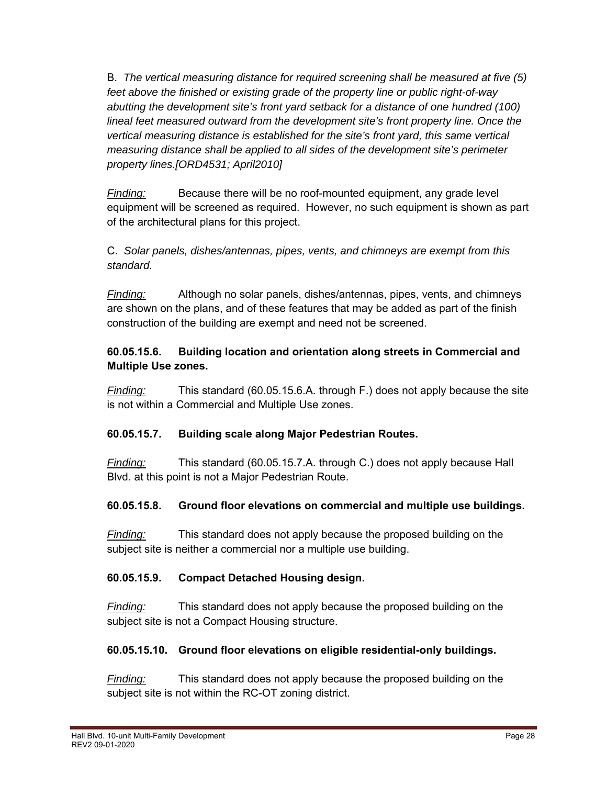B. *The vertical measuring distance for required screening shall be measured at five (5) feet above the finished or existing grade of the property line or public right-of-way abutting the development site's front yard setback for a distance of one hundred (100) lineal feet measured outward from the development site's front property line. Once the vertical measuring distance is established for the site's front yard, this same vertical measuring distance shall be applied to all sides of the development site's perimeter property lines.[ORD4531; April2010]*

*Finding:* Because there will be no roof-mounted equipment, any grade level equipment will be screened as required. However, no such equipment is shown as part of the architectural plans for this project.

C. *Solar panels, dishes/antennas, pipes, vents, and chimneys are exempt from this standard.*

*Finding:* Although no solar panels, dishes/antennas, pipes, vents, and chimneys are shown on the plans, and of these features that may be added as part of the finish construction of the building are exempt and need not be screened.

# **60.05.15.6. Building location and orientation along streets in Commercial and Multiple Use zones.**

*Finding:* This standard (60.05.15.6.A. through F.) does not apply because the site is not within a Commercial and Multiple Use zones.

# **60.05.15.7. Building scale along Major Pedestrian Routes.**

*Finding:* This standard (60.05.15.7.A. through C.) does not apply because Hall Blvd. at this point is not a Major Pedestrian Route.

# **60.05.15.8. Ground floor elevations on commercial and multiple use buildings.**

*Finding:* This standard does not apply because the proposed building on the subject site is neither a commercial nor a multiple use building.

# **60.05.15.9. Compact Detached Housing design.**

*Finding:* This standard does not apply because the proposed building on the subject site is not a Compact Housing structure.

# **60.05.15.10. Ground floor elevations on eligible residential-only buildings.**

*Finding:* This standard does not apply because the proposed building on the subject site is not within the RC-OT zoning district.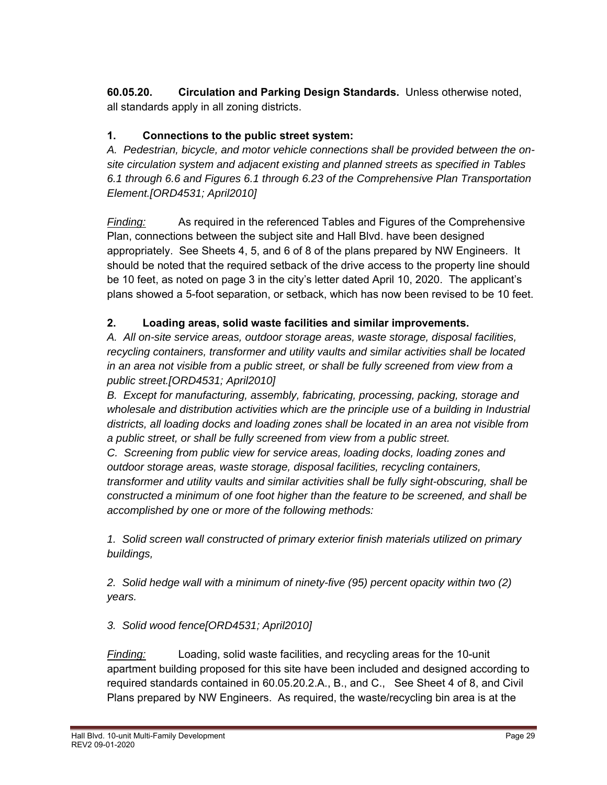**60.05.20. Circulation and Parking Design Standards.** Unless otherwise noted, all standards apply in all zoning districts.

# **1. Connections to the public street system:**

*A. Pedestrian, bicycle, and motor vehicle connections shall be provided between the onsite circulation system and adjacent existing and planned streets as specified in Tables 6.1 through 6.6 and Figures 6.1 through 6.23 of the Comprehensive Plan Transportation Element.[ORD4531; April2010]* 

*Finding:* As required in the referenced Tables and Figures of the Comprehensive Plan, connections between the subject site and Hall Blvd. have been designed appropriately. See Sheets 4, 5, and 6 of 8 of the plans prepared by NW Engineers. It should be noted that the required setback of the drive access to the property line should be 10 feet, as noted on page 3 in the city's letter dated April 10, 2020. The applicant's plans showed a 5-foot separation, or setback, which has now been revised to be 10 feet.

# **2. Loading areas, solid waste facilities and similar improvements.**

*A. All on-site service areas, outdoor storage areas, waste storage, disposal facilities, recycling containers, transformer and utility vaults and similar activities shall be located in an area not visible from a public street, or shall be fully screened from view from a public street.[ORD4531; April2010]* 

*B. Except for manufacturing, assembly, fabricating, processing, packing, storage and wholesale and distribution activities which are the principle use of a building in Industrial districts, all loading docks and loading zones shall be located in an area not visible from a public street, or shall be fully screened from view from a public street.* 

*C. Screening from public view for service areas, loading docks, loading zones and outdoor storage areas, waste storage, disposal facilities, recycling containers, transformer and utility vaults and similar activities shall be fully sight-obscuring, shall be constructed a minimum of one foot higher than the feature to be screened, and shall be accomplished by one or more of the following methods:* 

*1. Solid screen wall constructed of primary exterior finish materials utilized on primary buildings,* 

*2. Solid hedge wall with a minimum of ninety-five (95) percent opacity within two (2) years.* 

# *3. Solid wood fence[ORD4531; April2010]*

*Finding:* Loading, solid waste facilities, and recycling areas for the 10-unit apartment building proposed for this site have been included and designed according to required standards contained in 60.05.20.2.A., B., and C., See Sheet 4 of 8, and Civil Plans prepared by NW Engineers. As required, the waste/recycling bin area is at the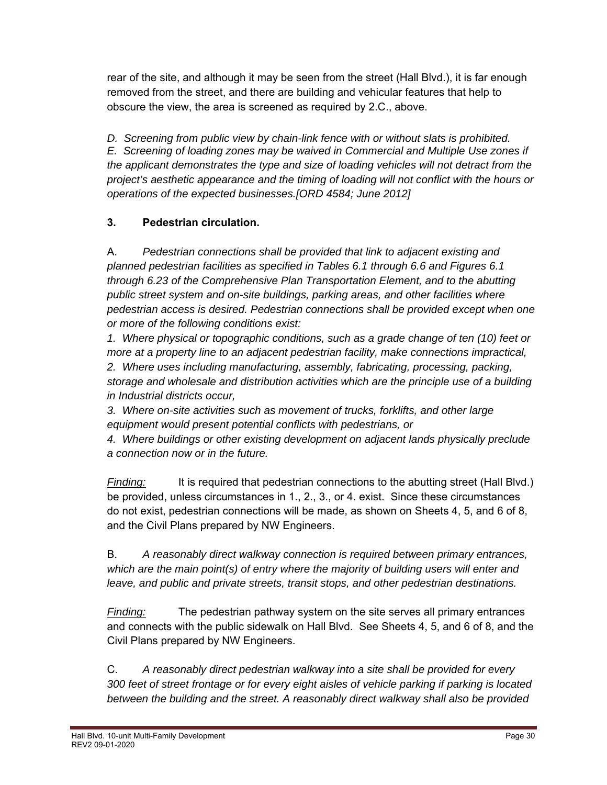rear of the site, and although it may be seen from the street (Hall Blvd.), it is far enough removed from the street, and there are building and vehicular features that help to obscure the view, the area is screened as required by 2.C., above.

*D. Screening from public view by chain-link fence with or without slats is prohibited. E. Screening of loading zones may be waived in Commercial and Multiple Use zones if the applicant demonstrates the type and size of loading vehicles will not detract from the project's aesthetic appearance and the timing of loading will not conflict with the hours or operations of the expected businesses.[ORD 4584; June 2012]* 

# **3. Pedestrian circulation.**

A. *Pedestrian connections shall be provided that link to adjacent existing and planned pedestrian facilities as specified in Tables 6.1 through 6.6 and Figures 6.1 through 6.23 of the Comprehensive Plan Transportation Element, and to the abutting public street system and on-site buildings, parking areas, and other facilities where pedestrian access is desired. Pedestrian connections shall be provided except when one or more of the following conditions exist:* 

*1. Where physical or topographic conditions, such as a grade change of ten (10) feet or more at a property line to an adjacent pedestrian facility, make connections impractical,* 

*2. Where uses including manufacturing, assembly, fabricating, processing, packing, storage and wholesale and distribution activities which are the principle use of a building in Industrial districts occur,* 

*3. Where on-site activities such as movement of trucks, forklifts, and other large equipment would present potential conflicts with pedestrians, or* 

*4. Where buildings or other existing development on adjacent lands physically preclude a connection now or in the future.*

*Finding:* It is required that pedestrian connections to the abutting street (Hall Blvd.) be provided, unless circumstances in 1., 2., 3., or 4. exist. Since these circumstances do not exist, pedestrian connections will be made, as shown on Sheets 4, 5, and 6 of 8, and the Civil Plans prepared by NW Engineers.

B. *A reasonably direct walkway connection is required between primary entrances, which are the main point(s) of entry where the majority of building users will enter and leave, and public and private streets, transit stops, and other pedestrian destinations.* 

*Finding:* The pedestrian pathway system on the site serves all primary entrances and connects with the public sidewalk on Hall Blvd. See Sheets 4, 5, and 6 of 8, and the Civil Plans prepared by NW Engineers.

C. *A reasonably direct pedestrian walkway into a site shall be provided for every 300 feet of street frontage or for every eight aisles of vehicle parking if parking is located between the building and the street. A reasonably direct walkway shall also be provided*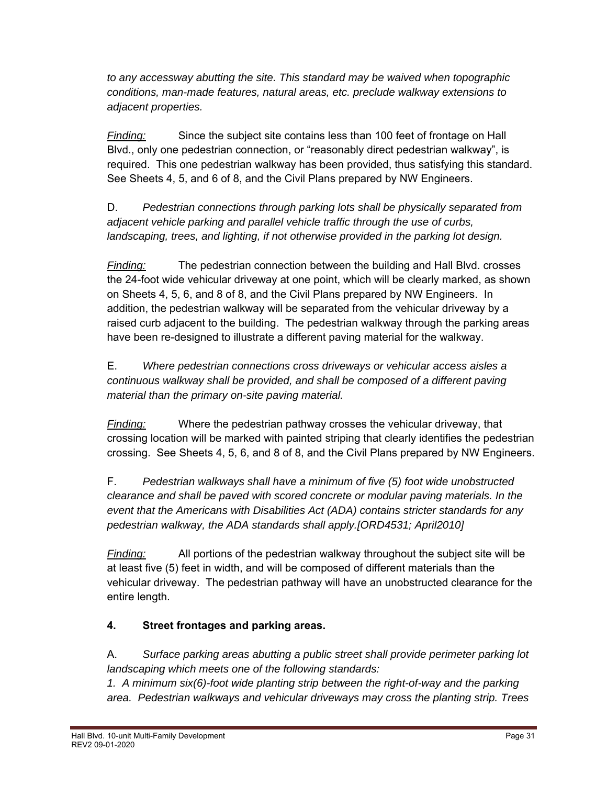*to any accessway abutting the site. This standard may be waived when topographic conditions, man-made features, natural areas, etc. preclude walkway extensions to adjacent properties.*

*Finding:* Since the subject site contains less than 100 feet of frontage on Hall Blvd., only one pedestrian connection, or "reasonably direct pedestrian walkway", is required. This one pedestrian walkway has been provided, thus satisfying this standard. See Sheets 4, 5, and 6 of 8, and the Civil Plans prepared by NW Engineers.

D. *Pedestrian connections through parking lots shall be physically separated from adjacent vehicle parking and parallel vehicle traffic through the use of curbs,*  landscaping, trees, and lighting, if not otherwise provided in the parking lot design.

*Finding:* The pedestrian connection between the building and Hall Blvd. crosses the 24-foot wide vehicular driveway at one point, which will be clearly marked, as shown on Sheets 4, 5, 6, and 8 of 8, and the Civil Plans prepared by NW Engineers. In addition, the pedestrian walkway will be separated from the vehicular driveway by a raised curb adjacent to the building. The pedestrian walkway through the parking areas have been re-designed to illustrate a different paving material for the walkway.

E. *Where pedestrian connections cross driveways or vehicular access aisles a continuous walkway shall be provided, and shall be composed of a different paving material than the primary on-site paving material.*

*Finding:* Where the pedestrian pathway crosses the vehicular driveway, that crossing location will be marked with painted striping that clearly identifies the pedestrian crossing. See Sheets 4, 5, 6, and 8 of 8, and the Civil Plans prepared by NW Engineers.

F. *Pedestrian walkways shall have a minimum of five (5) foot wide unobstructed clearance and shall be paved with scored concrete or modular paving materials. In the event that the Americans with Disabilities Act (ADA) contains stricter standards for any pedestrian walkway, the ADA standards shall apply.[ORD4531; April2010]* 

*Finding:* All portions of the pedestrian walkway throughout the subject site will be at least five (5) feet in width, and will be composed of different materials than the vehicular driveway. The pedestrian pathway will have an unobstructed clearance for the entire length.

# **4. Street frontages and parking areas.**

A. *Surface parking areas abutting a public street shall provide perimeter parking lot landscaping which meets one of the following standards:* 

*1. A minimum six(6)-foot wide planting strip between the right-of-way and the parking area. Pedestrian walkways and vehicular driveways may cross the planting strip. Trees*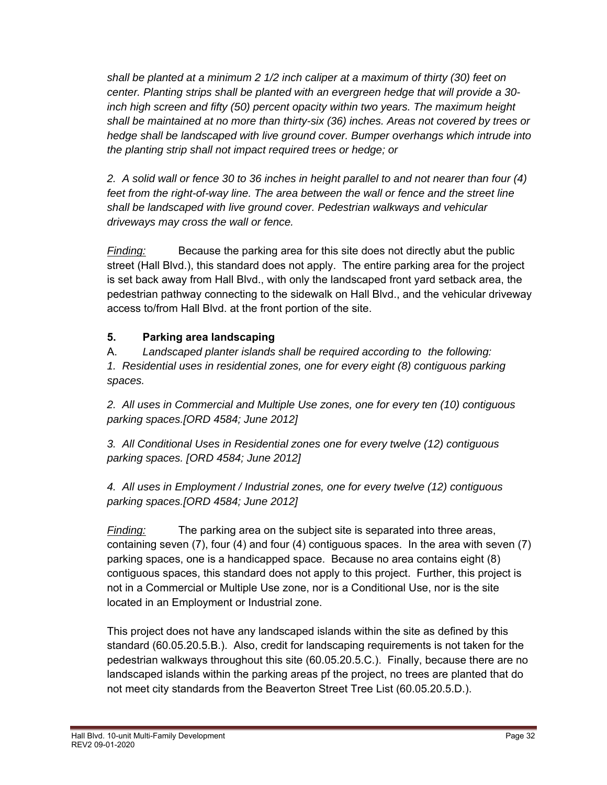*shall be planted at a minimum 2 1/2 inch caliper at a maximum of thirty (30) feet on center. Planting strips shall be planted with an evergreen hedge that will provide a 30 inch high screen and fifty (50) percent opacity within two years. The maximum height shall be maintained at no more than thirty-six (36) inches. Areas not covered by trees or hedge shall be landscaped with live ground cover. Bumper overhangs which intrude into the planting strip shall not impact required trees or hedge; or* 

*2. A solid wall or fence 30 to 36 inches in height parallel to and not nearer than four (4) feet from the right-of-way line. The area between the wall or fence and the street line shall be landscaped with live ground cover. Pedestrian walkways and vehicular driveways may cross the wall or fence.*

*Finding:* Because the parking area for this site does not directly abut the public street (Hall Blvd.), this standard does not apply. The entire parking area for the project is set back away from Hall Blvd., with only the landscaped front yard setback area, the pedestrian pathway connecting to the sidewalk on Hall Blvd., and the vehicular driveway access to/from Hall Blvd. at the front portion of the site.

# **5. Parking area landscaping**

 A. *Landscaped planter islands shall be required according to the following: 1. Residential uses in residential zones, one for every eight (8) contiguous parking spaces.* 

 *2. All uses in Commercial and Multiple Use zones, one for every ten (10) contiguous parking spaces.[ORD 4584; June 2012]*

 *3. All Conditional Uses in Residential zones one for every twelve (12) contiguous parking spaces. [ORD 4584; June 2012]* 

 *4. All uses in Employment / Industrial zones, one for every twelve (12) contiguous parking spaces.[ORD 4584; June 2012]* 

*Finding:* The parking area on the subject site is separated into three areas, containing seven (7), four (4) and four (4) contiguous spaces. In the area with seven (7) parking spaces, one is a handicapped space. Because no area contains eight (8) contiguous spaces, this standard does not apply to this project. Further, this project is not in a Commercial or Multiple Use zone, nor is a Conditional Use, nor is the site located in an Employment or Industrial zone.

This project does not have any landscaped islands within the site as defined by this standard (60.05.20.5.B.). Also, credit for landscaping requirements is not taken for the pedestrian walkways throughout this site (60.05.20.5.C.). Finally, because there are no landscaped islands within the parking areas pf the project, no trees are planted that do not meet city standards from the Beaverton Street Tree List (60.05.20.5.D.).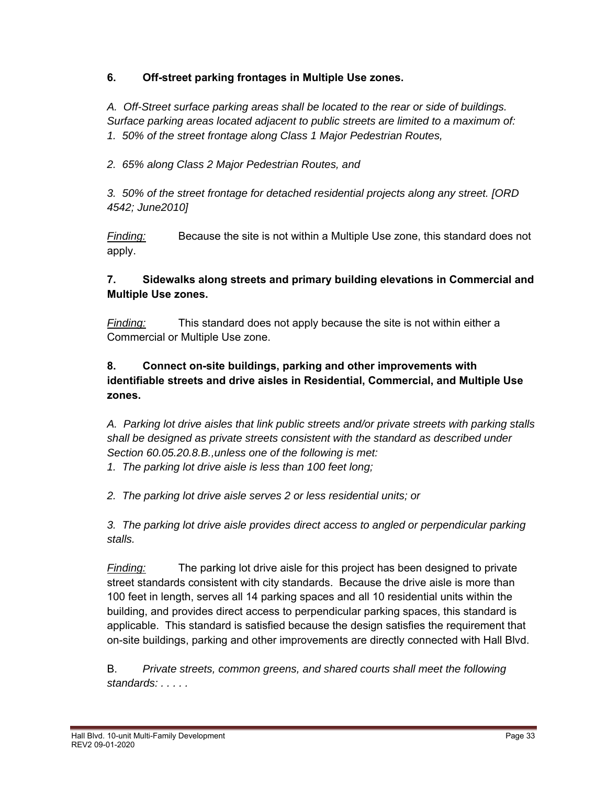### **6. Off-street parking frontages in Multiple Use zones.**

*A. Off-Street surface parking areas shall be located to the rear or side of buildings. Surface parking areas located adjacent to public streets are limited to a maximum of: 1. 50% of the street frontage along Class 1 Major Pedestrian Routes,* 

*2. 65% along Class 2 Major Pedestrian Routes, and* 

*3. 50% of the street frontage for detached residential projects along any street. [ORD 4542; June2010]*

*Finding:* Because the site is not within a Multiple Use zone, this standard does not apply.

### **7. Sidewalks along streets and primary building elevations in Commercial and Multiple Use zones.**

*Finding:* This standard does not apply because the site is not within either a Commercial or Multiple Use zone.

### **8. Connect on-site buildings, parking and other improvements with identifiable streets and drive aisles in Residential, Commercial, and Multiple Use zones.**

*A. Parking lot drive aisles that link public streets and/or private streets with parking stalls shall be designed as private streets consistent with the standard as described under Section 60.05.20.8.B.,unless one of the following is met:* 

*1. The parking lot drive aisle is less than 100 feet long;* 

*2. The parking lot drive aisle serves 2 or less residential units; or* 

*3. The parking lot drive aisle provides direct access to angled or perpendicular parking stalls.*

*Finding:* The parking lot drive aisle for this project has been designed to private street standards consistent with city standards. Because the drive aisle is more than 100 feet in length, serves all 14 parking spaces and all 10 residential units within the building, and provides direct access to perpendicular parking spaces, this standard is applicable. This standard is satisfied because the design satisfies the requirement that on-site buildings, parking and other improvements are directly connected with Hall Blvd.

B. *Private streets, common greens, and shared courts shall meet the following standards: . . . . .*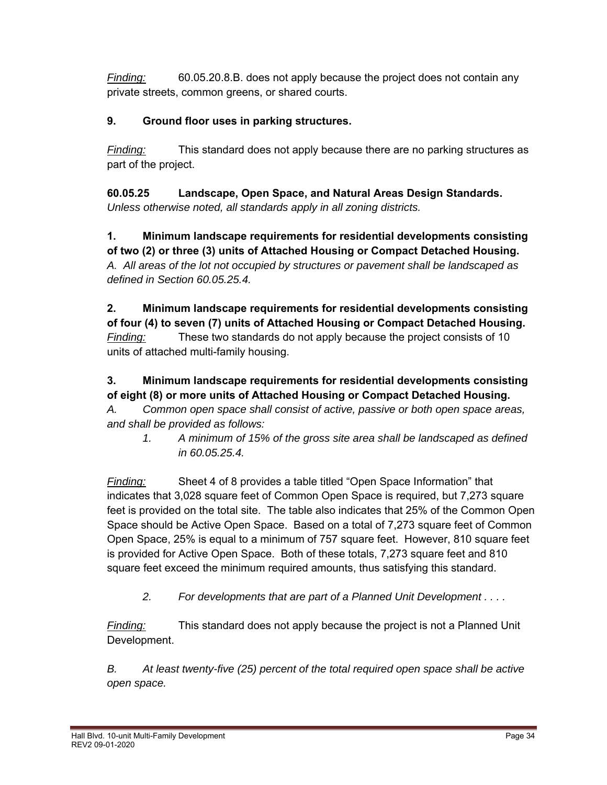*Finding:* 60.05.20.8.B. does not apply because the project does not contain any private streets, common greens, or shared courts.

# **9. Ground floor uses in parking structures.**

*Finding:* This standard does not apply because there are no parking structures as part of the project.

**60.05.25 Landscape, Open Space, and Natural Areas Design Standards.** *Unless otherwise noted, all standards apply in all zoning districts.* 

**1. Minimum landscape requirements for residential developments consisting of two (2) or three (3) units of Attached Housing or Compact Detached Housing.**  *A. All areas of the lot not occupied by structures or pavement shall be landscaped as defined in Section 60.05.25.4.* 

**2. Minimum landscape requirements for residential developments consisting of four (4) to seven (7) units of Attached Housing or Compact Detached Housing.**  *Finding:* These two standards do not apply because the project consists of 10 units of attached multi-family housing.

# **3. Minimum landscape requirements for residential developments consisting of eight (8) or more units of Attached Housing or Compact Detached Housing.**

*A. Common open space shall consist of active, passive or both open space areas, and shall be provided as follows:* 

 *1. A minimum of 15% of the gross site area shall be landscaped as defined in 60.05.25.4.* 

*Finding:* Sheet 4 of 8 provides a table titled "Open Space Information" that indicates that 3,028 square feet of Common Open Space is required, but 7,273 square feet is provided on the total site. The table also indicates that 25% of the Common Open Space should be Active Open Space. Based on a total of 7,273 square feet of Common Open Space, 25% is equal to a minimum of 757 square feet. However, 810 square feet is provided for Active Open Space. Both of these totals, 7,273 square feet and 810 square feet exceed the minimum required amounts, thus satisfying this standard.

*2. For developments that are part of a Planned Unit Development . . . .* 

*Finding:* This standard does not apply because the project is not a Planned Unit Development.

*B. At least twenty-five (25) percent of the total required open space shall be active open space.*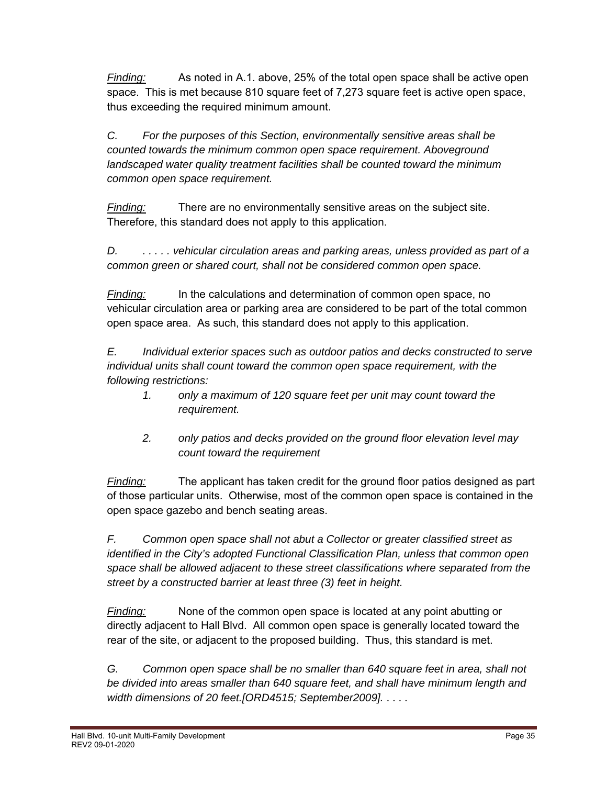*Finding:* As noted in A.1. above, 25% of the total open space shall be active open space. This is met because 810 square feet of 7,273 square feet is active open space, thus exceeding the required minimum amount.

*C. For the purposes of this Section, environmentally sensitive areas shall be counted towards the minimum common open space requirement. Aboveground landscaped water quality treatment facilities shall be counted toward the minimum common open space requirement.* 

*Finding:* There are no environmentally sensitive areas on the subject site. Therefore, this standard does not apply to this application.

*D. . . . . . vehicular circulation areas and parking areas, unless provided as part of a common green or shared court, shall not be considered common open space.* 

*Finding:* In the calculations and determination of common open space, no vehicular circulation area or parking area are considered to be part of the total common open space area. As such, this standard does not apply to this application.

*E. Individual exterior spaces such as outdoor patios and decks constructed to serve individual units shall count toward the common open space requirement, with the following restrictions:* 

- *1. only a maximum of 120 square feet per unit may count toward the requirement.*
- *2. only patios and decks provided on the ground floor elevation level may count toward the requirement*

*Finding:* The applicant has taken credit for the ground floor patios designed as part of those particular units. Otherwise, most of the common open space is contained in the open space gazebo and bench seating areas.

*F. Common open space shall not abut a Collector or greater classified street as identified in the City's adopted Functional Classification Plan, unless that common open space shall be allowed adjacent to these street classifications where separated from the street by a constructed barrier at least three (3) feet in height.* 

*Finding:* None of the common open space is located at any point abutting or directly adjacent to Hall Blvd. All common open space is generally located toward the rear of the site, or adjacent to the proposed building. Thus, this standard is met.

*G. Common open space shall be no smaller than 640 square feet in area, shall not be divided into areas smaller than 640 square feet, and shall have minimum length and width dimensions of 20 feet.[ORD4515; September2009].* . . . .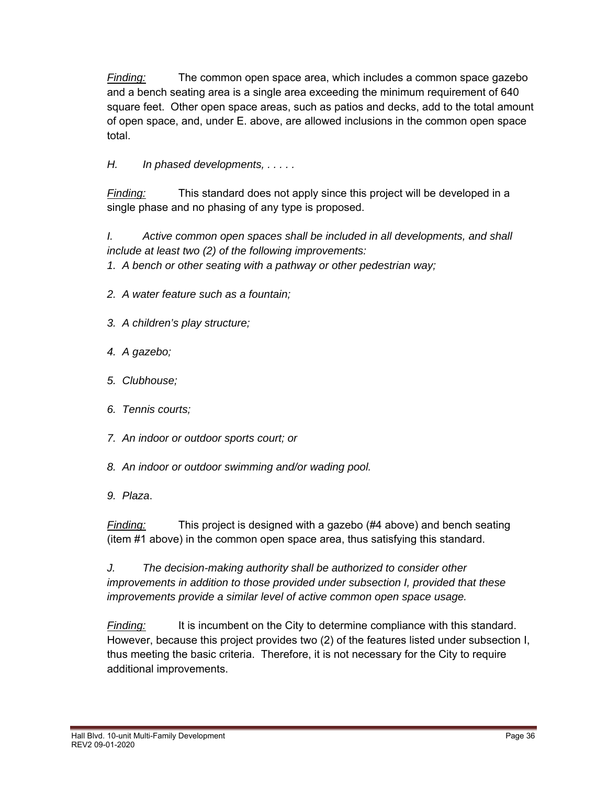*Finding:* The common open space area, which includes a common space gazebo and a bench seating area is a single area exceeding the minimum requirement of 640 square feet. Other open space areas, such as patios and decks, add to the total amount of open space, and, under E. above, are allowed inclusions in the common open space total.

# *H. In phased developments, . . . . .*

*Finding:* This standard does not apply since this project will be developed in a single phase and no phasing of any type is proposed.

*I. Active common open spaces shall be included in all developments, and shall include at least two (2) of the following improvements:* 

*1. A bench or other seating with a pathway or other pedestrian way;* 

- *2. A water feature such as a fountain;*
- *3. A children's play structure;*
- *4. A gazebo;*
- *5. Clubhouse;*
- *6. Tennis courts;*
- *7. An indoor or outdoor sports court; or*
- *8. An indoor or outdoor swimming and/or wading pool.*
- *9. Plaza*.

*Finding:* This project is designed with a gazebo (#4 above) and bench seating (item #1 above) in the common open space area, thus satisfying this standard.

*J. The decision-making authority shall be authorized to consider other improvements in addition to those provided under subsection I, provided that these improvements provide a similar level of active common open space usage.* 

*Finding:* It is incumbent on the City to determine compliance with this standard. However, because this project provides two (2) of the features listed under subsection I, thus meeting the basic criteria. Therefore, it is not necessary for the City to require additional improvements.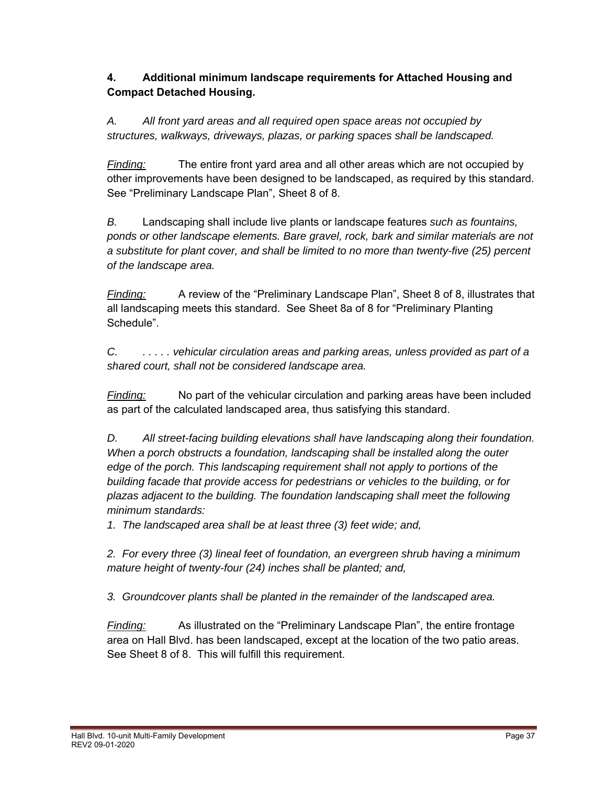### **4. Additional minimum landscape requirements for Attached Housing and Compact Detached Housing.**

*A. All front yard areas and all required open space areas not occupied by structures, walkways, driveways, plazas, or parking spaces shall be landscaped.* 

*Finding:* The entire front yard area and all other areas which are not occupied by other improvements have been designed to be landscaped, as required by this standard. See "Preliminary Landscape Plan", Sheet 8 of 8.

*B.* Landscaping shall include live plants or landscape features *such as fountains, ponds or other landscape elements. Bare gravel, rock, bark and similar materials are not a substitute for plant cover, and shall be limited to no more than twenty-five (25) percent of the landscape area.*

*Finding:* A review of the "Preliminary Landscape Plan", Sheet 8 of 8, illustrates that all landscaping meets this standard. See Sheet 8a of 8 for "Preliminary Planting Schedule".

*C. . . . . . vehicular circulation areas and parking areas, unless provided as part of a shared court, shall not be considered landscape area.*

*Finding:* No part of the vehicular circulation and parking areas have been included as part of the calculated landscaped area, thus satisfying this standard.

*D. All street-facing building elevations shall have landscaping along their foundation. When a porch obstructs a foundation, landscaping shall be installed along the outer edge of the porch. This landscaping requirement shall not apply to portions of the building facade that provide access for pedestrians or vehicles to the building, or for plazas adjacent to the building. The foundation landscaping shall meet the following minimum standards:* 

*1. The landscaped area shall be at least three (3) feet wide; and,* 

*2. For every three (3) lineal feet of foundation, an evergreen shrub having a minimum mature height of twenty-four (24) inches shall be planted; and,* 

*3. Groundcover plants shall be planted in the remainder of the landscaped area.*

*Finding:* As illustrated on the "Preliminary Landscape Plan", the entire frontage area on Hall Blvd. has been landscaped, except at the location of the two patio areas. See Sheet 8 of 8. This will fulfill this requirement.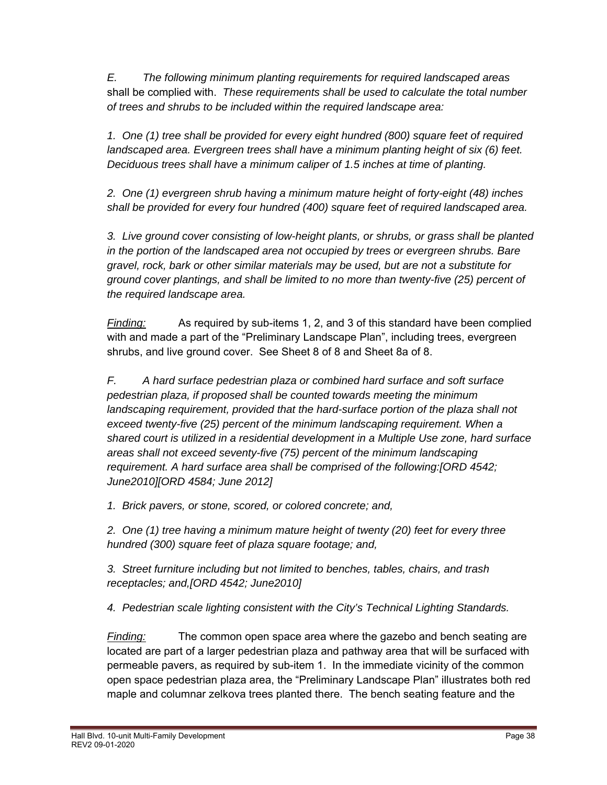*E. The following minimum planting requirements for required landscaped areas* shall be complied with. *These requirements shall be used to calculate the total number of trees and shrubs to be included within the required landscape area:*

*1. One (1) tree shall be provided for every eight hundred (800) square feet of required landscaped area. Evergreen trees shall have a minimum planting height of six (6) feet. Deciduous trees shall have a minimum caliper of 1.5 inches at time of planting.* 

*2. One (1) evergreen shrub having a minimum mature height of forty-eight (48) inches shall be provided for every four hundred (400) square feet of required landscaped area.* 

*3. Live ground cover consisting of low-height plants, or shrubs, or grass shall be planted in the portion of the landscaped area not occupied by trees or evergreen shrubs. Bare gravel, rock, bark or other similar materials may be used, but are not a substitute for ground cover plantings, and shall be limited to no more than twenty-five (25) percent of the required landscape area.* 

*Finding:* As required by sub-items 1, 2, and 3 of this standard have been complied with and made a part of the "Preliminary Landscape Plan", including trees, evergreen shrubs, and live ground cover. See Sheet 8 of 8 and Sheet 8a of 8.

 *F. A hard surface pedestrian plaza or combined hard surface and soft surface pedestrian plaza, if proposed shall be counted towards meeting the minimum*  landscaping requirement, provided that the hard-surface portion of the plaza shall not  *exceed twenty-five (25) percent of the minimum landscaping requirement. When a shared court is utilized in a residential development in a Multiple Use zone, hard surface areas shall not exceed seventy-five (75) percent of the minimum landscaping requirement. A hard surface area shall be comprised of the following:[ORD 4542; June2010][ORD 4584; June 2012]* 

 *1. Brick pavers, or stone, scored, or colored concrete; and,* 

 *2. One (1) tree having a minimum mature height of twenty (20) feet for every three hundred (300) square feet of plaza square footage; and,* 

 *3. Street furniture including but not limited to benches, tables, chairs, and trash receptacles; and,[ORD 4542; June2010]*

 *4. Pedestrian scale lighting consistent with the City's Technical Lighting Standards.*

*Finding:* The common open space area where the gazebo and bench seating are located are part of a larger pedestrian plaza and pathway area that will be surfaced with permeable pavers, as required by sub-item 1. In the immediate vicinity of the common open space pedestrian plaza area, the "Preliminary Landscape Plan" illustrates both red maple and columnar zelkova trees planted there. The bench seating feature and the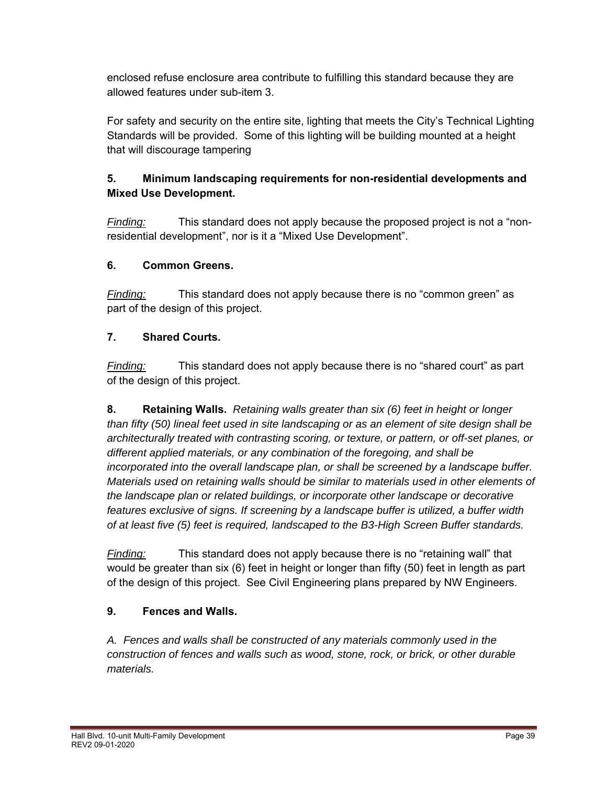enclosed refuse enclosure area contribute to fulfilling this standard because they are allowed features under sub-item 3.

For safety and security on the entire site, lighting that meets the City's Technical Lighting Standards will be provided. Some of this lighting will be building mounted at a height that will discourage tampering

# **5. Minimum landscaping requirements for non-residential developments and Mixed Use Development.**

*Finding:* This standard does not apply because the proposed project is not a "nonresidential development", nor is it a "Mixed Use Development".

# **6. Common Greens.**

*Finding:* This standard does not apply because there is no "common green" as part of the design of this project.

# **7. Shared Courts.**

*Finding:* This standard does not apply because there is no "shared court" as part of the design of this project.

**8. Retaining Walls.** *Retaining walls greater than six (6) feet in height or longer than fifty (50) lineal feet used in site landscaping or as an element of site design shall be architecturally treated with contrasting scoring, or texture, or pattern, or off-set planes, or different applied materials, or any combination of the foregoing, and shall be incorporated into the overall landscape plan, or shall be screened by a landscape buffer. Materials used on retaining walls should be similar to materials used in other elements of the landscape plan or related buildings, or incorporate other landscape or decorative features exclusive of signs. If screening by a landscape buffer is utilized, a buffer width of at least five (5) feet is required, landscaped to the B3-High Screen Buffer standards.*

*Finding:* This standard does not apply because there is no "retaining wall" that would be greater than six (6) feet in height or longer than fifty (50) feet in length as part of the design of this project. See Civil Engineering plans prepared by NW Engineers.

# **9. Fences and Walls.**

*A. Fences and walls shall be constructed of any materials commonly used in the construction of fences and walls such as wood, stone, rock, or brick, or other durable materials.*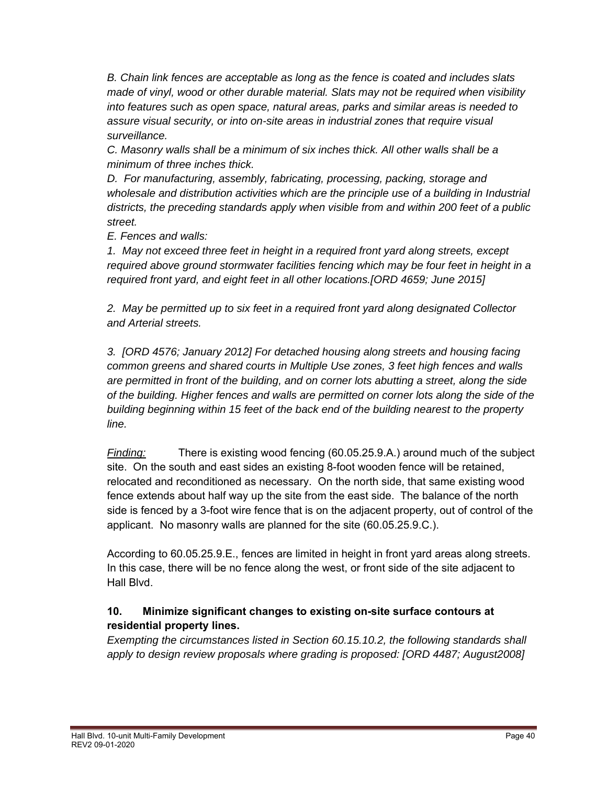*B. Chain link fences are acceptable as long as the fence is coated and includes slats made of vinyl, wood or other durable material. Slats may not be required when visibility into features such as open space, natural areas, parks and similar areas is needed to assure visual security, or into on-site areas in industrial zones that require visual surveillance.* 

*C. Masonry walls shall be a minimum of six inches thick. All other walls shall be a minimum of three inches thick.* 

*D. For manufacturing, assembly, fabricating, processing, packing, storage and wholesale and distribution activities which are the principle use of a building in Industrial districts, the preceding standards apply when visible from and within 200 feet of a public street.* 

*E. Fences and walls:* 

*1. May not exceed three feet in height in a required front yard along streets, except required above ground stormwater facilities fencing which may be four feet in height in a required front yard, and eight feet in all other locations.[ORD 4659; June 2015]* 

*2. May be permitted up to six feet in a required front yard along designated Collector and Arterial streets.* 

*3. [ORD 4576; January 2012] For detached housing along streets and housing facing common greens and shared courts in Multiple Use zones, 3 feet high fences and walls are permitted in front of the building, and on corner lots abutting a street, along the side of the building. Higher fences and walls are permitted on corner lots along the side of the building beginning within 15 feet of the back end of the building nearest to the property line.*

*Finding:* There is existing wood fencing (60.05.25.9.A.) around much of the subject site. On the south and east sides an existing 8-foot wooden fence will be retained, relocated and reconditioned as necessary. On the north side, that same existing wood fence extends about half way up the site from the east side. The balance of the north side is fenced by a 3-foot wire fence that is on the adjacent property, out of control of the applicant. No masonry walls are planned for the site (60.05.25.9.C.).

According to 60.05.25.9.E., fences are limited in height in front yard areas along streets. In this case, there will be no fence along the west, or front side of the site adjacent to Hall Blvd.

# **10. Minimize significant changes to existing on-site surface contours at residential property lines.**

*Exempting the circumstances listed in Section 60.15.10.2, the following standards shall*  apply to design review proposals where grading is proposed: [ORD 4487; August2008]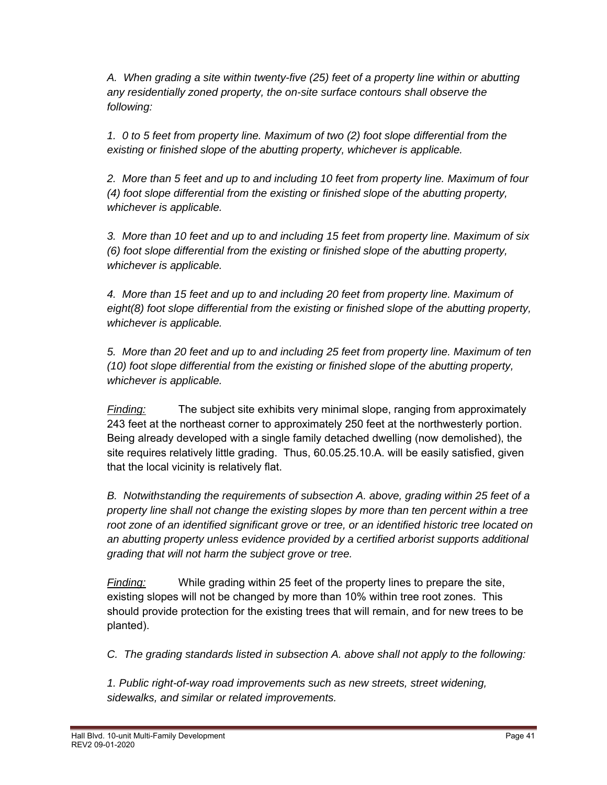*A. When grading a site within twenty-five (25) feet of a property line within or abutting any residentially zoned property, the on-site surface contours shall observe the following:* 

*1. 0 to 5 feet from property line. Maximum of two (2) foot slope differential from the existing or finished slope of the abutting property, whichever is applicable.* 

*2. More than 5 feet and up to and including 10 feet from property line. Maximum of four (4) foot slope differential from the existing or finished slope of the abutting property, whichever is applicable.* 

*3. More than 10 feet and up to and including 15 feet from property line. Maximum of six (6) foot slope differential from the existing or finished slope of the abutting property, whichever is applicable.* 

*4. More than 15 feet and up to and including 20 feet from property line. Maximum of eight(8) foot slope differential from the existing or finished slope of the abutting property, whichever is applicable.* 

*5. More than 20 feet and up to and including 25 feet from property line. Maximum of ten (10) foot slope differential from the existing or finished slope of the abutting property, whichever is applicable.*

*Finding:* The subject site exhibits very minimal slope, ranging from approximately 243 feet at the northeast corner to approximately 250 feet at the northwesterly portion. Being already developed with a single family detached dwelling (now demolished), the site requires relatively little grading. Thus, 60.05.25.10.A. will be easily satisfied, given that the local vicinity is relatively flat.

*B. Notwithstanding the requirements of subsection A. above, grading within 25 feet of a property line shall not change the existing slopes by more than ten percent within a tree root zone of an identified significant grove or tree, or an identified historic tree located on an abutting property unless evidence provided by a certified arborist supports additional grading that will not harm the subject grove or tree.* 

*Finding:* While grading within 25 feet of the property lines to prepare the site, existing slopes will not be changed by more than 10% within tree root zones. This should provide protection for the existing trees that will remain, and for new trees to be planted).

*C. The grading standards listed in subsection A. above shall not apply to the following:* 

*1. Public right-of-way road improvements such as new streets, street widening, sidewalks, and similar or related improvements.*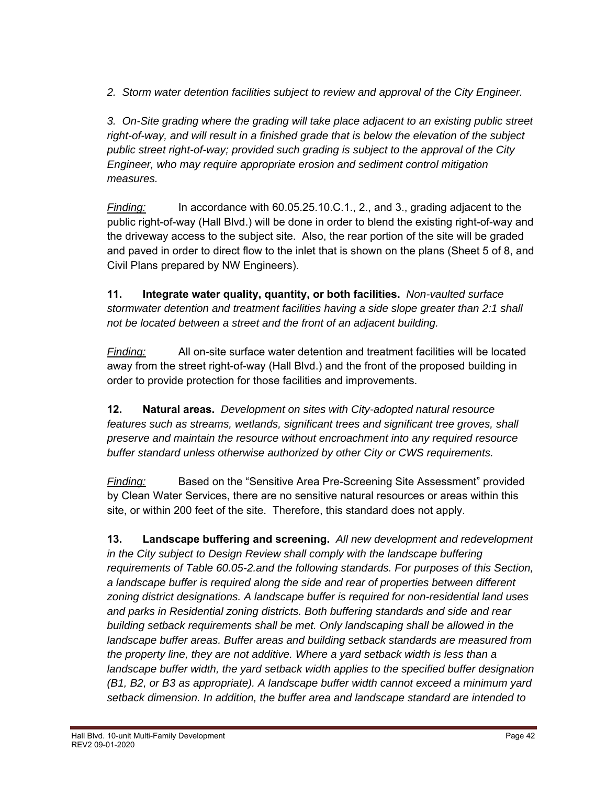*2. Storm water detention facilities subject to review and approval of the City Engineer.* 

*3. On-Site grading where the grading will take place adjacent to an existing public street right-of-way, and will result in a finished grade that is below the elevation of the subject public street right-of-way; provided such grading is subject to the approval of the City Engineer, who may require appropriate erosion and sediment control mitigation measures.*

*Finding:* In accordance with 60.05.25.10.C.1., 2., and 3., grading adjacent to the public right-of-way (Hall Blvd.) will be done in order to blend the existing right-of-way and the driveway access to the subject site. Also, the rear portion of the site will be graded and paved in order to direct flow to the inlet that is shown on the plans (Sheet 5 of 8, and Civil Plans prepared by NW Engineers).

**11. Integrate water quality, quantity, or both facilities.** *Non-vaulted surface stormwater detention and treatment facilities having a side slope greater than 2:1 shall not be located between a street and the front of an adjacent building.*

*Finding:* All on-site surface water detention and treatment facilities will be located away from the street right-of-way (Hall Blvd.) and the front of the proposed building in order to provide protection for those facilities and improvements.

**12. Natural areas.** *Development on sites with City-adopted natural resource features such as streams, wetlands, significant trees and significant tree groves, shall preserve and maintain the resource without encroachment into any required resource buffer standard unless otherwise authorized by other City or CWS requirements.*

*Finding:* Based on the "Sensitive Area Pre-Screening Site Assessment" provided by Clean Water Services, there are no sensitive natural resources or areas within this site, or within 200 feet of the site. Therefore, this standard does not apply.

 **13. Landscape buffering and screening.** *All new development and redevelopment in the City subject to Design Review shall comply with the landscape buffering requirements of Table 60.05-2.and the following standards. For purposes of this Section, a landscape buffer is required along the side and rear of properties between different zoning district designations. A landscape buffer is required for non-residential land uses and parks in Residential zoning districts. Both buffering standards and side and rear building setback requirements shall be met. Only landscaping shall be allowed in the landscape buffer areas. Buffer areas and building setback standards are measured from the property line, they are not additive. Where a yard setback width is less than a landscape buffer width, the yard setback width applies to the specified buffer designation (B1, B2, or B3 as appropriate). A landscape buffer width cannot exceed a minimum yard setback dimension. In addition, the buffer area and landscape standard are intended to*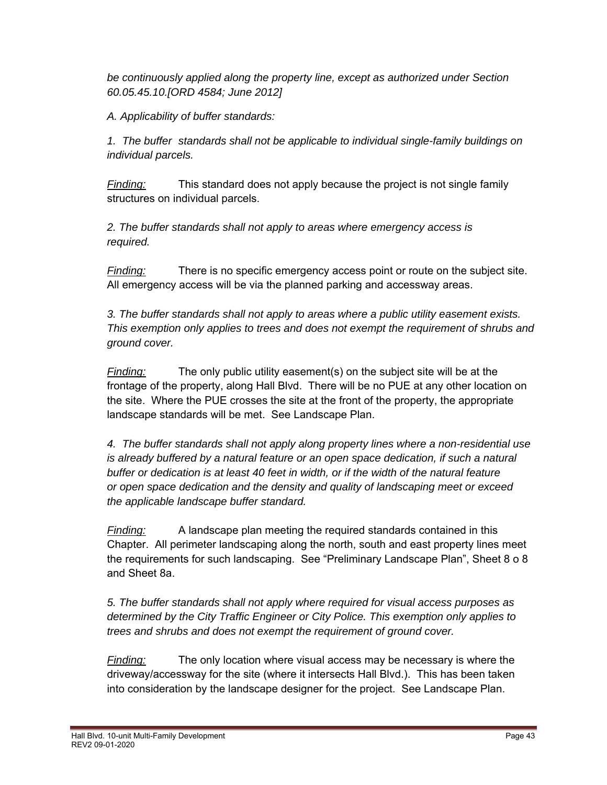*be continuously applied along the property line, except as authorized under Section 60.05.45.10.[ORD 4584; June 2012]* 

 *A. Applicability of buffer standards:* 

 *1. The buffer standards shall not be applicable to individual single-family buildings on individual parcels.* 

*Finding:* This standard does not apply because the project is not single family structures on individual parcels.

 *2. The buffer standards shall not apply to areas where emergency access is required.* 

*Finding:* There is no specific emergency access point or route on the subject site. All emergency access will be via the planned parking and accessway areas.

 *3. The buffer standards shall not apply to areas where a public utility easement exists. This exemption only applies to trees and does not exempt the requirement of shrubs and ground cover.* 

*Finding:* The only public utility easement(s) on the subject site will be at the frontage of the property, along Hall Blvd. There will be no PUE at any other location on the site. Where the PUE crosses the site at the front of the property, the appropriate landscape standards will be met. See Landscape Plan.

 *4. The buffer standards shall not apply along property lines where a non-residential use is already buffered by a natural feature or an open space dedication, if such a natural buffer or dedication is at least 40 feet in width, or if the width of the natural feature or open space dedication and the density and quality of landscaping meet or exceed the applicable landscape buffer standard.* 

*Finding:* A landscape plan meeting the required standards contained in this Chapter. All perimeter landscaping along the north, south and east property lines meet the requirements for such landscaping. See "Preliminary Landscape Plan", Sheet 8 o 8 and Sheet 8a.

*5. The buffer standards shall not apply where required for visual access purposes as determined by the City Traffic Engineer or City Police. This exemption only applies to trees and shrubs and does not exempt the requirement of ground cover.* 

*Finding:* The only location where visual access may be necessary is where the driveway/accessway for the site (where it intersects Hall Blvd.). This has been taken into consideration by the landscape designer for the project. See Landscape Plan.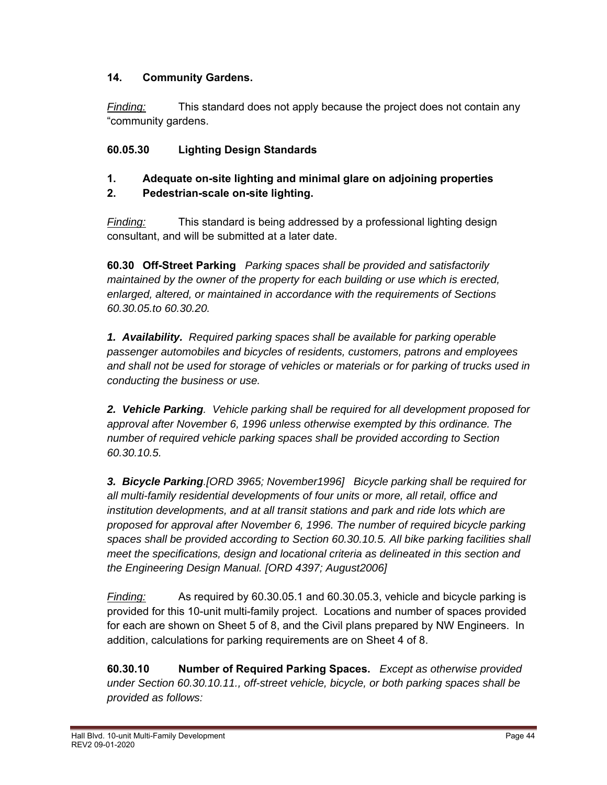### **14. Community Gardens.**

*Finding:* This standard does not apply because the project does not contain any "community gardens.

# **60.05.30 Lighting Design Standards**

# **1. Adequate on-site lighting and minimal glare on adjoining properties**

# **2. Pedestrian-scale on-site lighting.**

*Finding:* This standard is being addressed by a professional lighting design consultant, and will be submitted at a later date.

**60.30 Off-Street Parking** *Parking spaces shall be provided and satisfactorily maintained by the owner of the property for each building or use which is erected, enlarged, altered, or maintained in accordance with the requirements of Sections 60.30.05.to 60.30.20.*

*1. Availability. Required parking spaces shall be available for parking operable passenger automobiles and bicycles of residents, customers, patrons and employees and shall not be used for storage of vehicles or materials or for parking of trucks used in conducting the business or use.* 

*2. Vehicle Parking. Vehicle parking shall be required for all development proposed for approval after November 6, 1996 unless otherwise exempted by this ordinance. The number of required vehicle parking spaces shall be provided according to Section 60.30.10.5.* 

*3. Bicycle Parking.[ORD 3965; November1996] Bicycle parking shall be required for all multi-family residential developments of four units or more, all retail, office and institution developments, and at all transit stations and park and ride lots which are proposed for approval after November 6, 1996. The number of required bicycle parking spaces shall be provided according to Section 60.30.10.5. All bike parking facilities shall meet the specifications, design and locational criteria as delineated in this section and the Engineering Design Manual. [ORD 4397; August2006]* 

*Finding:* As required by 60.30.05.1 and 60.30.05.3, vehicle and bicycle parking is provided for this 10-unit multi-family project. Locations and number of spaces provided for each are shown on Sheet 5 of 8, and the Civil plans prepared by NW Engineers. In addition, calculations for parking requirements are on Sheet 4 of 8.

**60.30.10 Number of Required Parking Spaces.** *Except as otherwise provided under Section 60.30.10.11., off-street vehicle, bicycle, or both parking spaces shall be provided as follows:*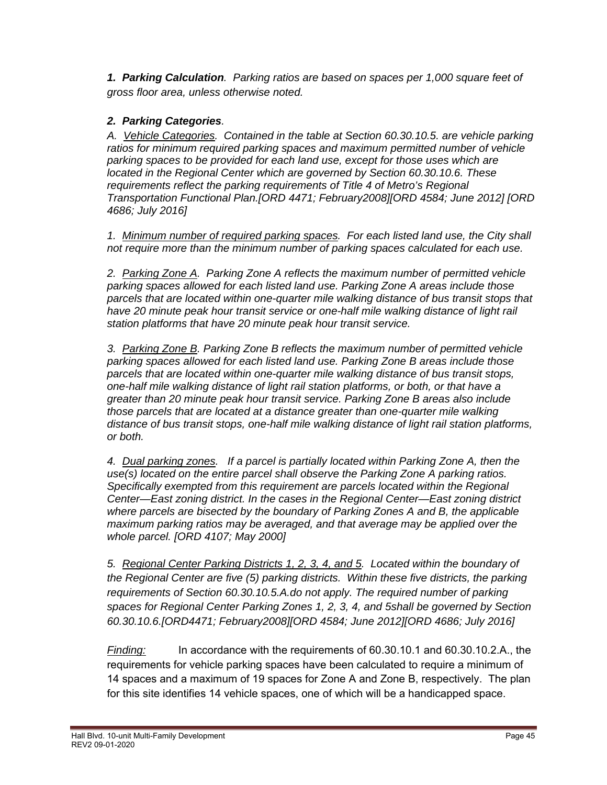*1. Parking Calculation. Parking ratios are based on spaces per 1,000 square feet of gross floor area, unless otherwise noted.* 

### *2. Parking Categories.*

 *A. Vehicle Categories. Contained in the table at Section 60.30.10.5. are vehicle parking ratios for minimum required parking spaces and maximum permitted number of vehicle parking spaces to be provided for each land use, except for those uses which are located in the Regional Center which are governed by Section 60.30.10.6. These requirements reflect the parking requirements of Title 4 of Metro's Regional Transportation Functional Plan.[ORD 4471; February2008][ORD 4584; June 2012] [ORD 4686; July 2016]*

*1. Minimum number of required parking spaces. For each listed land use, the City shall not require more than the minimum number of parking spaces calculated for each use.* 

 *2. Parking Zone A. Parking Zone A reflects the maximum number of permitted vehicle parking spaces allowed for each listed land use. Parking Zone A areas include those parcels that are located within one-quarter mile walking distance of bus transit stops that have 20 minute peak hour transit service or one-half mile walking distance of light rail station platforms that have 20 minute peak hour transit service.* 

 *3. Parking Zone B. Parking Zone B reflects the maximum number of permitted vehicle parking spaces allowed for each listed land use. Parking Zone B areas include those parcels that are located within one-quarter mile walking distance of bus transit stops, one-half mile walking distance of light rail station platforms, or both, or that have a greater than 20 minute peak hour transit service. Parking Zone B areas also include those parcels that are located at a distance greater than one-quarter mile walking distance of bus transit stops, one-half mile walking distance of light rail station platforms, or both.* 

 *4. Dual parking zones. If a parcel is partially located within Parking Zone A, then the use(s) located on the entire parcel shall observe the Parking Zone A parking ratios. Specifically exempted from this requirement are parcels located within the Regional Center—East zoning district. In the cases in the Regional Center—East zoning district where parcels are bisected by the boundary of Parking Zones A and B, the applicable maximum parking ratios may be averaged, and that average may be applied over the whole parcel. [ORD 4107; May 2000]*

 *5. Regional Center Parking Districts 1, 2, 3, 4, and 5. Located within the boundary of the Regional Center are five (5) parking districts. Within these five districts, the parking requirements of Section 60.30.10.5.A.do not apply. The required number of parking spaces for Regional Center Parking Zones 1, 2, 3, 4, and 5shall be governed by Section 60.30.10.6.[ORD4471; February2008][ORD 4584; June 2012][ORD 4686; July 2016]*

*Finding:* In accordance with the requirements of 60.30.10.1 and 60.30.10.2.A., the requirements for vehicle parking spaces have been calculated to require a minimum of 14 spaces and a maximum of 19 spaces for Zone A and Zone B, respectively. The plan for this site identifies 14 vehicle spaces, one of which will be a handicapped space.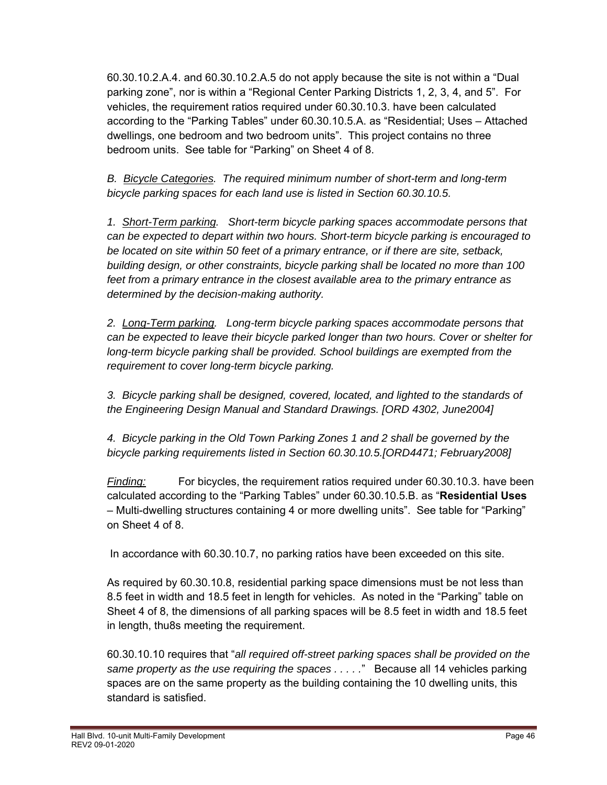60.30.10.2.A.4. and 60.30.10.2.A.5 do not apply because the site is not within a "Dual parking zone", nor is within a "Regional Center Parking Districts 1, 2, 3, 4, and 5". For vehicles, the requirement ratios required under 60.30.10.3. have been calculated according to the "Parking Tables" under 60.30.10.5.A. as "Residential; Uses – Attached dwellings, one bedroom and two bedroom units". This project contains no three bedroom units. See table for "Parking" on Sheet 4 of 8.

*B. Bicycle Categories. The required minimum number of short-term and long-term bicycle parking spaces for each land use is listed in Section 60.30.10.5.* 

*1. Short-Term parking. Short-term bicycle parking spaces accommodate persons that can be expected to depart within two hours. Short-term bicycle parking is encouraged to be located on site within 50 feet of a primary entrance, or if there are site, setback, building design, or other constraints, bicycle parking shall be located no more than 100 feet from a primary entrance in the closest available area to the primary entrance as determined by the decision-making authority.* 

*2. Long-Term parking. Long-term bicycle parking spaces accommodate persons that can be expected to leave their bicycle parked longer than two hours. Cover or shelter for long-term bicycle parking shall be provided. School buildings are exempted from the requirement to cover long-term bicycle parking.* 

*3. Bicycle parking shall be designed, covered, located, and lighted to the standards of the Engineering Design Manual and Standard Drawings. [ORD 4302, June2004]* 

*4. Bicycle parking in the Old Town Parking Zones 1 and 2 shall be governed by the bicycle parking requirements listed in Section 60.30.10.5.[ORD4471; February2008]* 

*Finding:* For bicycles, the requirement ratios required under 60.30.10.3. have been calculated according to the "Parking Tables" under 60.30.10.5.B. as "**Residential Uses** – Multi-dwelling structures containing 4 or more dwelling units". See table for "Parking" on Sheet 4 of 8.

In accordance with 60.30.10.7, no parking ratios have been exceeded on this site.

As required by 60.30.10.8, residential parking space dimensions must be not less than 8.5 feet in width and 18.5 feet in length for vehicles. As noted in the "Parking" table on Sheet 4 of 8, the dimensions of all parking spaces will be 8.5 feet in width and 18.5 feet in length, thu8s meeting the requirement.

60.30.10.10 requires that "*all required off-street parking spaces shall be provided on the same property as the use requiring the spaces . . . . .*" Because all 14 vehicles parking spaces are on the same property as the building containing the 10 dwelling units, this standard is satisfied.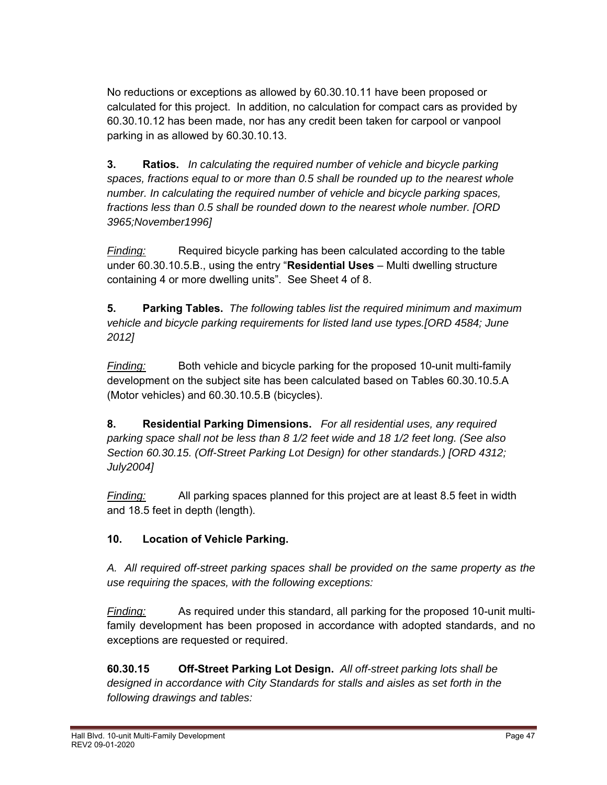No reductions or exceptions as allowed by 60.30.10.11 have been proposed or calculated for this project. In addition, no calculation for compact cars as provided by 60.30.10.12 has been made, nor has any credit been taken for carpool or vanpool parking in as allowed by 60.30.10.13.

**3. Ratios.** *In calculating the required number of vehicle and bicycle parking spaces, fractions equal to or more than 0.5 shall be rounded up to the nearest whole number. In calculating the required number of vehicle and bicycle parking spaces, fractions less than 0.5 shall be rounded down to the nearest whole number. [ORD 3965;November1996]*

*Finding:* Required bicycle parking has been calculated according to the table under 60.30.10.5.B., using the entry "**Residential Uses** – Multi dwelling structure containing 4 or more dwelling units". See Sheet 4 of 8.

**5. Parking Tables.** *The following tables list the required minimum and maximum vehicle and bicycle parking requirements for listed land use types.[ORD 4584; June 2012]*

*Finding:* Both vehicle and bicycle parking for the proposed 10-unit multi-family development on the subject site has been calculated based on Tables 60.30.10.5.A (Motor vehicles) and 60.30.10.5.B (bicycles).

**8. Residential Parking Dimensions.** *For all residential uses, any required parking space shall not be less than 8 1/2 feet wide and 18 1/2 feet long. (See also Section 60.30.15. (Off-Street Parking Lot Design) for other standards.) [ORD 4312; July2004]* 

*Finding:* All parking spaces planned for this project are at least 8.5 feet in width and 18.5 feet in depth (length).

# **10. Location of Vehicle Parking.**

*A. All required off-street parking spaces shall be provided on the same property as the use requiring the spaces, with the following exceptions:* 

*Finding:* As required under this standard, all parking for the proposed 10-unit multifamily development has been proposed in accordance with adopted standards, and no exceptions are requested or required.

 **60.30.15 Off-Street Parking Lot Design.** *All off-street parking lots shall be designed in accordance with City Standards for stalls and aisles as set forth in the following drawings and tables:*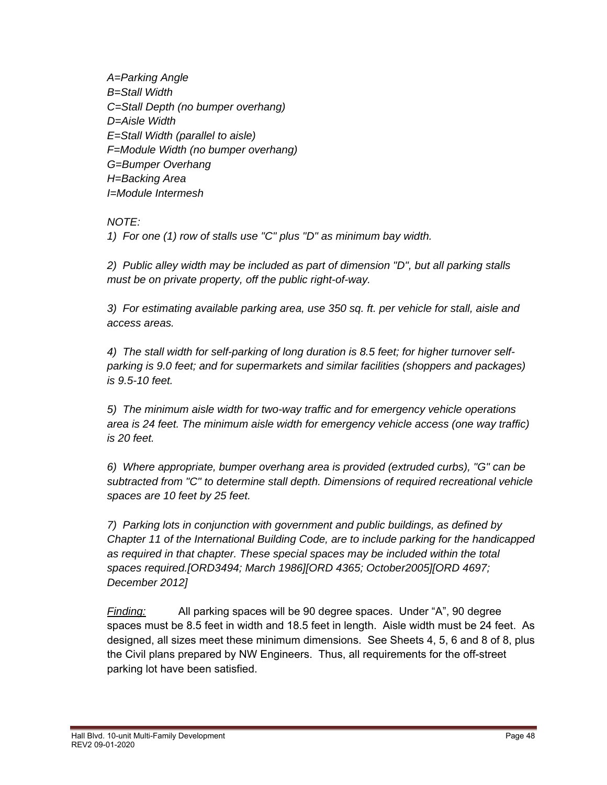*A=Parking Angle B=Stall Width C=Stall Depth (no bumper overhang) D=Aisle Width E=Stall Width (parallel to aisle) F=Module Width (no bumper overhang) G=Bumper Overhang H=Backing Area I=Module Intermesh* 

 *NOTE:* 

 *1) For one (1) row of stalls use "C" plus "D" as minimum bay width.* 

 *2) Public alley width may be included as part of dimension "D", but all parking stalls must be on private property, off the public right-of-way.* 

 *3) For estimating available parking area, use 350 sq. ft. per vehicle for stall, aisle and access areas.* 

 *4) The stall width for self-parking of long duration is 8.5 feet; for higher turnover self parking is 9.0 feet; and for supermarkets and similar facilities (shoppers and packages) is 9.5-10 feet.* 

 *5) The minimum aisle width for two-way traffic and for emergency vehicle operations area is 24 feet. The minimum aisle width for emergency vehicle access (one way traffic) is 20 feet.* 

 *6) Where appropriate, bumper overhang area is provided (extruded curbs), "G" can be subtracted from "C" to determine stall depth. Dimensions of required recreational vehicle spaces are 10 feet by 25 feet.* 

 *7) Parking lots in conjunction with government and public buildings, as defined by Chapter 11 of the International Building Code, are to include parking for the handicapped as required in that chapter. These special spaces may be included within the total spaces required.[ORD3494; March 1986][ORD 4365; October2005][ORD 4697; December 2012]*

*Finding:* All parking spaces will be 90 degree spaces. Under "A", 90 degree spaces must be 8.5 feet in width and 18.5 feet in length. Aisle width must be 24 feet. As designed, all sizes meet these minimum dimensions. See Sheets 4, 5, 6 and 8 of 8, plus the Civil plans prepared by NW Engineers. Thus, all requirements for the off-street parking lot have been satisfied.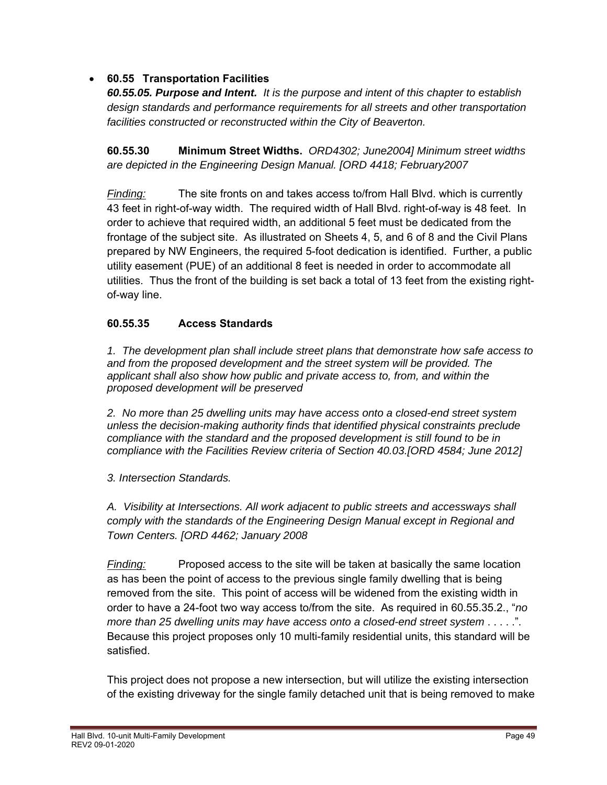### **60.55 Transportation Facilities**

*60.55.05. Purpose and Intent. It is the purpose and intent of this chapter to establish design standards and performance requirements for all streets and other transportation facilities constructed or reconstructed within the City of Beaverton.* 

**60.55.30 Minimum Street Widths.** *ORD4302; June2004] Minimum street widths are depicted in the Engineering Design Manual. [ORD 4418; February2007* 

*Finding:* The site fronts on and takes access to/from Hall Blvd. which is currently 43 feet in right-of-way width. The required width of Hall Blvd. right-of-way is 48 feet. In order to achieve that required width, an additional 5 feet must be dedicated from the frontage of the subject site. As illustrated on Sheets 4, 5, and 6 of 8 and the Civil Plans prepared by NW Engineers, the required 5-foot dedication is identified. Further, a public utility easement (PUE) of an additional 8 feet is needed in order to accommodate all utilities. Thus the front of the building is set back a total of 13 feet from the existing right of-way line.

#### **60.55.35 Access Standards**

*1. The development plan shall include street plans that demonstrate how safe access to and from the proposed development and the street system will be provided. The applicant shall also show how public and private access to, from, and within the proposed development will be preserved* 

*2. No more than 25 dwelling units may have access onto a closed-end street system unless the decision-making authority finds that identified physical constraints preclude compliance with the standard and the proposed development is still found to be in compliance with the Facilities Review criteria of Section 40.03.[ORD 4584; June 2012]*

*3. Intersection Standards.* 

*A. Visibility at Intersections. All work adjacent to public streets and accessways shall comply with the standards of the Engineering Design Manual except in Regional and Town Centers. [ORD 4462; January 2008*

*Finding:* Proposed access to the site will be taken at basically the same location as has been the point of access to the previous single family dwelling that is being removed from the site. This point of access will be widened from the existing width in order to have a 24-foot two way access to/from the site. As required in 60.55.35.2., "*no more than 25 dwelling units may have access onto a closed-end street system* . . . . .". Because this project proposes only 10 multi-family residential units, this standard will be satisfied.

This project does not propose a new intersection, but will utilize the existing intersection of the existing driveway for the single family detached unit that is being removed to make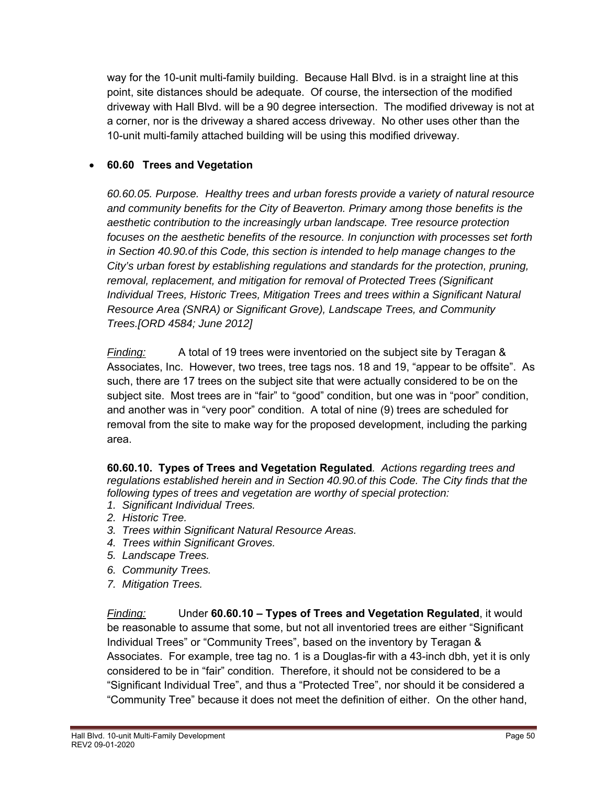way for the 10-unit multi-family building. Because Hall Blvd. is in a straight line at this point, site distances should be adequate. Of course, the intersection of the modified driveway with Hall Blvd. will be a 90 degree intersection. The modified driveway is not at a corner, nor is the driveway a shared access driveway. No other uses other than the 10-unit multi-family attached building will be using this modified driveway.

### **60.60 Trees and Vegetation**

*60.60.05. Purpose. Healthy trees and urban forests provide a variety of natural resource and community benefits for the City of Beaverton. Primary among those benefits is the aesthetic contribution to the increasingly urban landscape. Tree resource protection focuses on the aesthetic benefits of the resource. In conjunction with processes set forth in Section 40.90.of this Code, this section is intended to help manage changes to the City's urban forest by establishing regulations and standards for the protection, pruning, removal, replacement, and mitigation for removal of Protected Trees (Significant Individual Trees, Historic Trees, Mitigation Trees and trees within a Significant Natural Resource Area (SNRA) or Significant Grove), Landscape Trees, and Community Trees.[ORD 4584; June 2012]* 

*Finding:* A total of 19 trees were inventoried on the subject site by Teragan & Associates, Inc. However, two trees, tree tags nos. 18 and 19, "appear to be offsite". As such, there are 17 trees on the subject site that were actually considered to be on the subject site. Most trees are in "fair" to "good" condition, but one was in "poor" condition, and another was in "very poor" condition. A total of nine (9) trees are scheduled for removal from the site to make way for the proposed development, including the parking area.

**60.60.10. Types of Trees and Vegetation Regulated***. Actions regarding trees and regulations established herein and in Section 40.90.of this Code. The City finds that the following types of trees and vegetation are worthy of special protection:* 

- *1. Significant Individual Trees.*
- *2. Historic Tree.*
- *3. Trees within Significant Natural Resource Areas.*
- *4. Trees within Significant Groves.*
- *5. Landscape Trees.*
- *6. Community Trees.*
- *7. Mitigation Trees.*

*Finding:* Under **60.60.10 – Types of Trees and Vegetation Regulated**, it would be reasonable to assume that some, but not all inventoried trees are either "Significant Individual Trees" or "Community Trees", based on the inventory by Teragan & Associates. For example, tree tag no. 1 is a Douglas-fir with a 43-inch dbh, yet it is only considered to be in "fair" condition. Therefore, it should not be considered to be a "Significant Individual Tree", and thus a "Protected Tree", nor should it be considered a "Community Tree" because it does not meet the definition of either. On the other hand,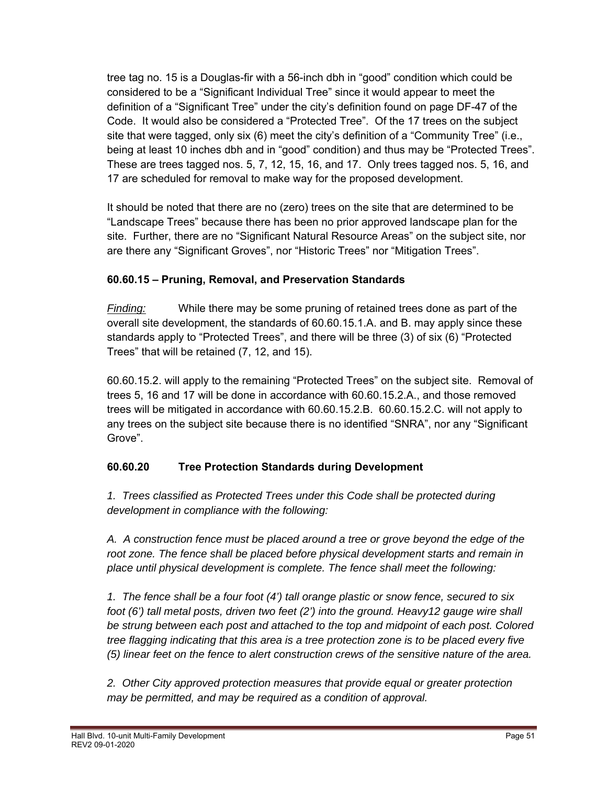tree tag no. 15 is a Douglas-fir with a 56-inch dbh in "good" condition which could be considered to be a "Significant Individual Tree" since it would appear to meet the definition of a "Significant Tree" under the city's definition found on page DF-47 of the Code. It would also be considered a "Protected Tree". Of the 17 trees on the subject site that were tagged, only six (6) meet the city's definition of a "Community Tree" (i.e., being at least 10 inches dbh and in "good" condition) and thus may be "Protected Trees". These are trees tagged nos. 5, 7, 12, 15, 16, and 17. Only trees tagged nos. 5, 16, and 17 are scheduled for removal to make way for the proposed development.

It should be noted that there are no (zero) trees on the site that are determined to be "Landscape Trees" because there has been no prior approved landscape plan for the site. Further, there are no "Significant Natural Resource Areas" on the subject site, nor are there any "Significant Groves", nor "Historic Trees" nor "Mitigation Trees".

### **60.60.15 – Pruning, Removal, and Preservation Standards**

*Finding:* While there may be some pruning of retained trees done as part of the overall site development, the standards of 60.60.15.1.A. and B. may apply since these standards apply to "Protected Trees", and there will be three (3) of six (6) "Protected Trees" that will be retained (7, 12, and 15).

60.60.15.2. will apply to the remaining "Protected Trees" on the subject site. Removal of trees 5, 16 and 17 will be done in accordance with 60.60.15.2.A., and those removed trees will be mitigated in accordance with 60.60.15.2.B. 60.60.15.2.C. will not apply to any trees on the subject site because there is no identified "SNRA", nor any "Significant Grove".

# **60.60.20 Tree Protection Standards during Development**

*1. Trees classified as Protected Trees under this Code shall be protected during development in compliance with the following:* 

*A. A construction fence must be placed around a tree or grove beyond the edge of the root zone. The fence shall be placed before physical development starts and remain in place until physical development is complete. The fence shall meet the following:* 

*1. The fence shall be a four foot (4') tall orange plastic or snow fence, secured to six foot (6') tall metal posts, driven two feet (2') into the ground. Heavy12 gauge wire shall be strung between each post and attached to the top and midpoint of each post. Colored tree flagging indicating that this area is a tree protection zone is to be placed every five (5) linear feet on the fence to alert construction crews of the sensitive nature of the area.*

*2. Other City approved protection measures that provide equal or greater protection may be permitted, and may be required as a condition of approval.*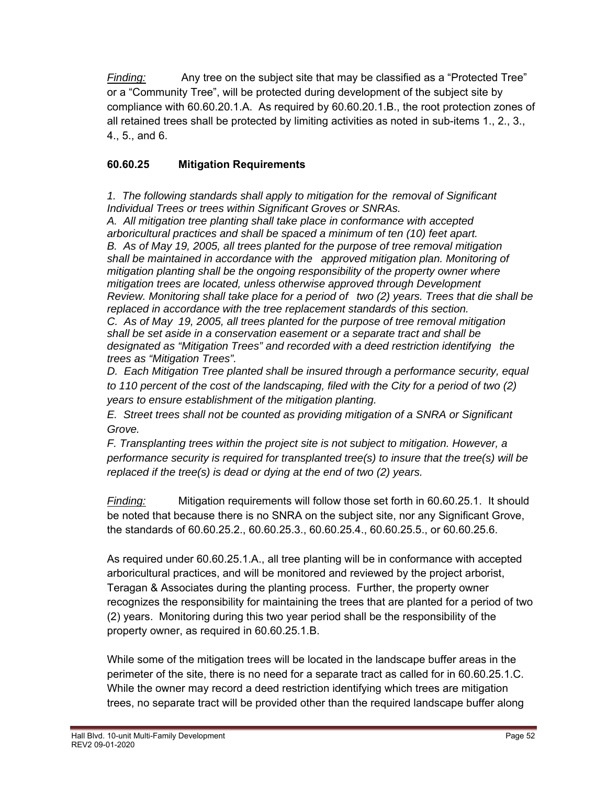*Finding:* Any tree on the subject site that may be classified as a "Protected Tree" or a "Community Tree", will be protected during development of the subject site by compliance with 60.60.20.1.A. As required by 60.60.20.1.B., the root protection zones of all retained trees shall be protected by limiting activities as noted in sub-items 1., 2., 3., 4., 5., and 6.

# **60.60.25 Mitigation Requirements**

*1. The following standards shall apply to mitigation for the removal of Significant Individual Trees or trees within Significant Groves or SNRAs.* 

 *A. All mitigation tree planting shall take place in conformance with accepted arboricultural practices and shall be spaced a minimum of ten (10) feet apart. B. As of May 19, 2005, all trees planted for the purpose of tree removal mitigation shall be maintained in accordance with the approved mitigation plan. Monitoring of mitigation planting shall be the ongoing responsibility of the property owner where mitigation trees are located, unless otherwise approved through Development Review. Monitoring shall take place for a period of two (2) years. Trees that die shall be replaced in accordance with the tree replacement standards of this section. C. As of May 19, 2005, all trees planted for the purpose of tree removal mitigation shall be set aside in a conservation easement or a separate tract and shall be designated as "Mitigation Trees" and recorded with a deed restriction identifying the trees as "Mitigation Trees".* 

*D. Each Mitigation Tree planted shall be insured through a performance security, equal to 110 percent of the cost of the landscaping, filed with the City for a period of two (2) years to ensure establishment of the mitigation planting.* 

*E. Street trees shall not be counted as providing mitigation of a SNRA or Significant Grove.* 

*F. Transplanting trees within the project site is not subject to mitigation. However, a performance security is required for transplanted tree(s) to insure that the tree(s) will be replaced if the tree(s) is dead or dying at the end of two (2) years.*

*Finding:* Mitigation requirements will follow those set forth in 60.60.25.1. It should be noted that because there is no SNRA on the subject site, nor any Significant Grove, the standards of 60.60.25.2., 60.60.25.3., 60.60.25.4., 60.60.25.5., or 60.60.25.6.

As required under 60.60.25.1.A., all tree planting will be in conformance with accepted arboricultural practices, and will be monitored and reviewed by the project arborist, Teragan & Associates during the planting process. Further, the property owner recognizes the responsibility for maintaining the trees that are planted for a period of two (2) years. Monitoring during this two year period shall be the responsibility of the property owner, as required in 60.60.25.1.B.

While some of the mitigation trees will be located in the landscape buffer areas in the perimeter of the site, there is no need for a separate tract as called for in 60.60.25.1.C. While the owner may record a deed restriction identifying which trees are mitigation trees, no separate tract will be provided other than the required landscape buffer along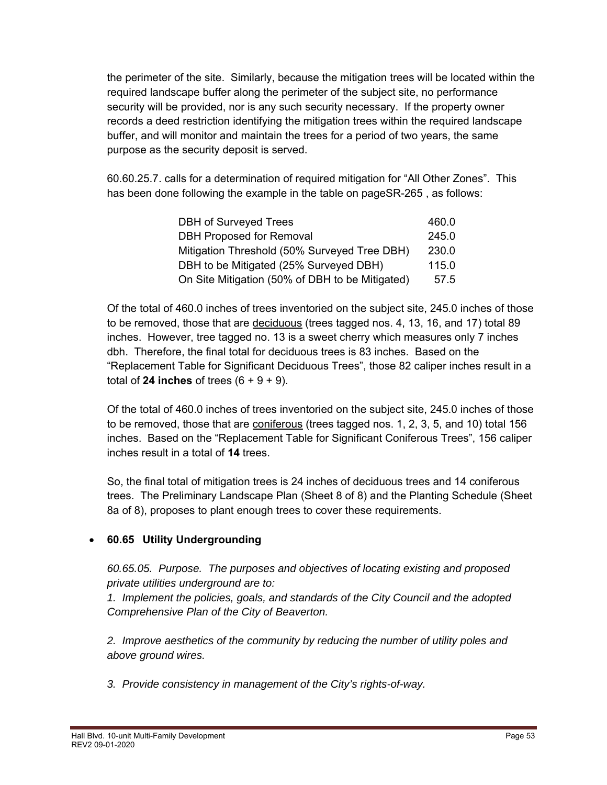the perimeter of the site. Similarly, because the mitigation trees will be located within the required landscape buffer along the perimeter of the subject site, no performance security will be provided, nor is any such security necessary. If the property owner records a deed restriction identifying the mitigation trees within the required landscape buffer, and will monitor and maintain the trees for a period of two years, the same purpose as the security deposit is served.

60.60.25.7. calls for a determination of required mitigation for "All Other Zones". This has been done following the example in the table on pageSR-265 , as follows:

| DBH of Surveyed Trees                           | 460.0 |
|-------------------------------------------------|-------|
| <b>DBH Proposed for Removal</b>                 | 245.0 |
| Mitigation Threshold (50% Surveyed Tree DBH)    | 230.0 |
| DBH to be Mitigated (25% Surveyed DBH)          | 115.0 |
| On Site Mitigation (50% of DBH to be Mitigated) | 57.5  |

Of the total of 460.0 inches of trees inventoried on the subject site, 245.0 inches of those to be removed, those that are deciduous (trees tagged nos. 4, 13, 16, and 17) total 89 inches. However, tree tagged no. 13 is a sweet cherry which measures only 7 inches dbh. Therefore, the final total for deciduous trees is 83 inches. Based on the "Replacement Table for Significant Deciduous Trees", those 82 caliper inches result in a total of **24 inches** of trees  $(6 + 9 + 9)$ .

Of the total of 460.0 inches of trees inventoried on the subject site, 245.0 inches of those to be removed, those that are coniferous (trees tagged nos. 1, 2, 3, 5, and 10) total 156 inches. Based on the "Replacement Table for Significant Coniferous Trees", 156 caliper inches result in a total of **14** trees.

So, the final total of mitigation trees is 24 inches of deciduous trees and 14 coniferous trees. The Preliminary Landscape Plan (Sheet 8 of 8) and the Planting Schedule (Sheet 8a of 8), proposes to plant enough trees to cover these requirements.

# **60.65 Utility Undergrounding**

*60.65.05. Purpose. The purposes and objectives of locating existing and proposed private utilities underground are to:* 

*1. Implement the policies, goals, and standards of the City Council and the adopted Comprehensive Plan of the City of Beaverton.* 

*2. Improve aesthetics of the community by reducing the number of utility poles and above ground wires.* 

*3. Provide consistency in management of the City's rights-of-way.*